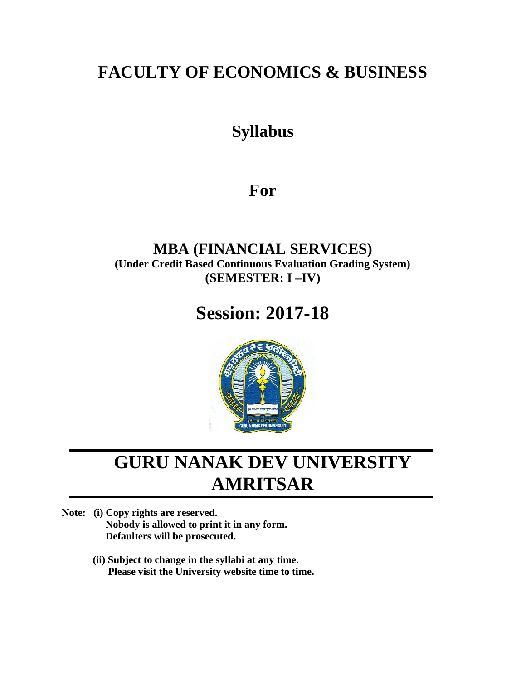# **FACULTY OF ECONOMICS & BUSINESS**

# **Syllabus**

# **For**

### **MBA (FINANCIAL SERVICES) (Under Credit Based Continuous Evaluation Grading System) (SEMESTER: I –IV)**

# **Session: 2017-18**



# **GURU NANAK DEV UNIVERSITY AMRITSAR**

- **Note: (i) Copy rights are reserved. Nobody is allowed to print it in any form. Defaulters will be prosecuted.**
	- **(ii) Subject to change in the syllabi at any time. Please visit the University website time to time.**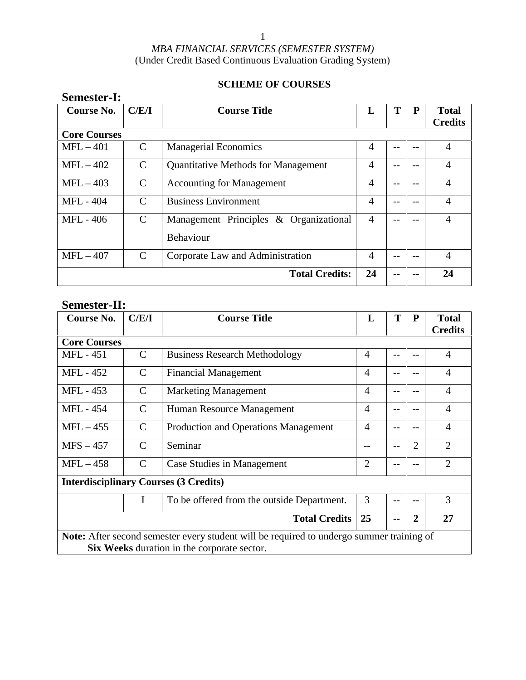### **SCHEME OF COURSES**

| Course No.          | C/E/I         | <b>Course Title</b>                                 | L              | T  | P | <b>Total</b><br><b>Credits</b> |
|---------------------|---------------|-----------------------------------------------------|----------------|----|---|--------------------------------|
| <b>Core Courses</b> |               |                                                     |                |    |   |                                |
| $MFL-401$           | $\mathcal{C}$ | <b>Managerial Economics</b>                         | $\overline{4}$ | -- |   | 4                              |
| $MFL - 402$         | $\mathcal{C}$ | <b>Quantitative Methods for Management</b>          | 4              | -- |   | 4                              |
| $MFL - 403$         | $\mathcal{C}$ | <b>Accounting for Management</b>                    | 4              |    |   | $\overline{4}$                 |
| <b>MFL-404</b>      | C             | <b>Business Environment</b>                         | 4              | -- |   | 4                              |
| MFL - 406           | $\mathcal{C}$ | Management Principles & Organizational<br>Behaviour | $\overline{4}$ | -- |   | 4                              |
| $MFL-407$           | $\mathcal{C}$ | Corporate Law and Administration                    | 4              | -- |   | $\overline{4}$                 |
|                     |               | <b>Total Credits:</b>                               | 24             | -- |   | 24                             |

### **Semester-II:**

**Semester-I:**

| <b>Course No.</b>   | C/E/I         | <b>Course Title</b>                                                                                                                     | L              | T     | ${\bf P}$ | <b>Total</b><br><b>Credits</b> |
|---------------------|---------------|-----------------------------------------------------------------------------------------------------------------------------------------|----------------|-------|-----------|--------------------------------|
| <b>Core Courses</b> |               |                                                                                                                                         |                |       |           |                                |
| MFL - 451           | $\mathcal{C}$ | <b>Business Research Methodology</b>                                                                                                    | 4              |       |           | $\overline{4}$                 |
| <b>MFL - 452</b>    | $\mathcal{C}$ | <b>Financial Management</b>                                                                                                             | $\overline{4}$ | $-$   | --        | $\overline{4}$                 |
| MFL - 453           | $\mathcal{C}$ | <b>Marketing Management</b>                                                                                                             | 4              | --    |           | $\overline{4}$                 |
| <b>MFL-454</b>      | $\mathcal{C}$ | Human Resource Management                                                                                                               | $\overline{4}$ | $-$   | --        | $\overline{4}$                 |
| $MFL-455$           | $\mathcal{C}$ | Production and Operations Management                                                                                                    | $\overline{4}$ |       |           | $\overline{4}$                 |
| $MFS - 457$         | $\mathcal{C}$ | Seminar                                                                                                                                 | --             | $- -$ | 2         | $\overline{2}$                 |
| $MFL-458$           | $\mathcal{C}$ | Case Studies in Management                                                                                                              | $\overline{2}$ | --    | --        | $\overline{2}$                 |
|                     |               | <b>Interdisciplinary Courses (3 Credits)</b>                                                                                            |                |       |           |                                |
|                     | I             | To be offered from the outside Department.                                                                                              | 3              | --    |           | 3                              |
|                     |               | <b>Total Credits</b>                                                                                                                    | 25             |       | 2         | 27                             |
|                     |               | Note: After second semester every student will be required to undergo summer training of<br>Six Weeks duration in the corporate sector. |                |       |           |                                |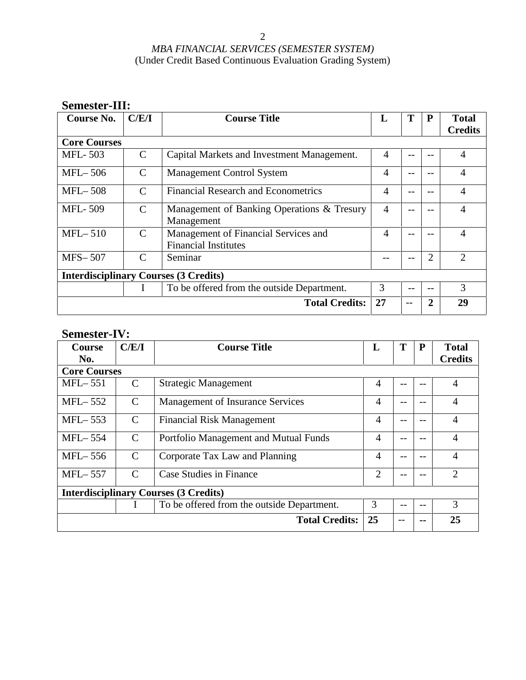| Semester-III:       |               |                                                                     |                |       |                |                                |
|---------------------|---------------|---------------------------------------------------------------------|----------------|-------|----------------|--------------------------------|
| <b>Course No.</b>   | C/E/I         | <b>Course Title</b>                                                 | L              | T     | P              | <b>Total</b><br><b>Credits</b> |
| <b>Core Courses</b> |               |                                                                     |                |       |                |                                |
| <b>MFL-503</b>      | $\mathcal{C}$ | Capital Markets and Investment Management.                          | 4              | $-$   |                | $\overline{4}$                 |
| $MFL-506$           | $\mathcal{C}$ | <b>Management Control System</b>                                    | 4              | $ -$  |                | 4                              |
| $MFL-508$           | $\mathcal{C}$ | <b>Financial Research and Econometrics</b>                          | 4              | $ -$  | $- -$          | 4                              |
| <b>MFL-509</b>      | $\mathcal{C}$ | Management of Banking Operations & Tresury<br>Management            | $\overline{4}$ | $ -$  |                | 4                              |
| $MFL-510$           | C             | Management of Financial Services and<br><b>Financial Institutes</b> | 4              | $- -$ |                | 4                              |
| <b>MFS-507</b>      | C             | Seminar                                                             |                | $- -$ | $\overline{2}$ | $\overline{2}$                 |
|                     |               | <b>Interdisciplinary Courses (3 Credits)</b>                        |                |       |                |                                |
|                     | L             | To be offered from the outside Department.                          | 3              | $- -$ | $- -$          | 3                              |
|                     |               | <b>Total Credits:</b>                                               | 27             | --    | 2              | 29                             |

## **Semester-IV:**

| <b>Course</b><br>No. | C/E/I         | <b>Course Title</b>                          | L              | T    | P    | <b>Total</b><br><b>Credits</b> |
|----------------------|---------------|----------------------------------------------|----------------|------|------|--------------------------------|
| <b>Core Courses</b>  |               |                                              |                |      |      |                                |
| $MFL-551$            | $\mathcal{C}$ | <b>Strategic Management</b>                  | $\overline{A}$ | --   | $ -$ | $\overline{4}$                 |
| $MFL-552$            | $\mathcal{C}$ | Management of Insurance Services             | $\overline{A}$ | --   |      | $\overline{4}$                 |
| $MFL-553$            | $\mathcal{C}$ | <b>Financial Risk Management</b>             | 4              | --   | --   | 4                              |
| <b>MFL</b> -554      | $\mathcal{C}$ | Portfolio Management and Mutual Funds        | $\overline{4}$ | --   |      | 4                              |
| $MFL-556$            | $\mathcal{C}$ | Corporate Tax Law and Planning               | $\overline{4}$ | --   | --   | $\overline{4}$                 |
| <b>MFL</b> -557      | $\mathcal{C}$ | Case Studies in Finance                      | $\overline{2}$ | --   |      | $\overline{2}$                 |
|                      |               | <b>Interdisciplinary Courses (3 Credits)</b> |                |      |      |                                |
|                      | $\mathbf{I}$  | To be offered from the outside Department.   | 3              | --   | --   | 3                              |
|                      |               | <b>Total Credits:</b>                        | 25             | $ -$ | --   | 25                             |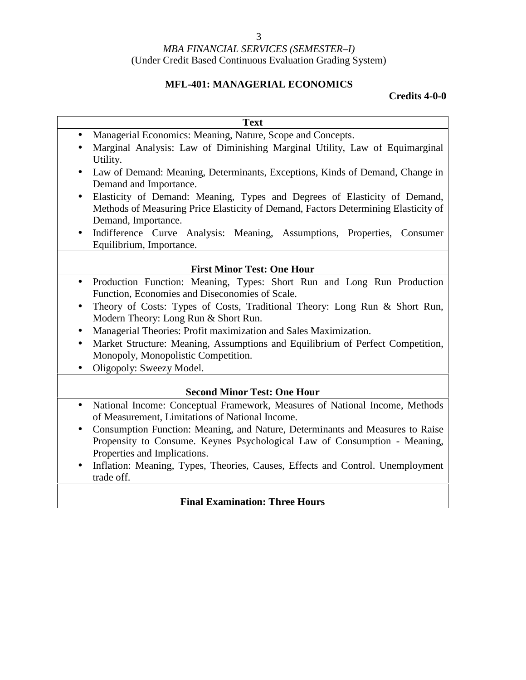### **MFL-401: MANAGERIAL ECONOMICS**

### **Credits 4-0-0**

|           | <b>Text</b>                                                                                                                                                                            |
|-----------|----------------------------------------------------------------------------------------------------------------------------------------------------------------------------------------|
| $\bullet$ | Managerial Economics: Meaning, Nature, Scope and Concepts.                                                                                                                             |
|           | Marginal Analysis: Law of Diminishing Marginal Utility, Law of Equimarginal<br>Utility.                                                                                                |
| $\bullet$ | Law of Demand: Meaning, Determinants, Exceptions, Kinds of Demand, Change in<br>Demand and Importance.                                                                                 |
|           | Elasticity of Demand: Meaning, Types and Degrees of Elasticity of Demand,<br>Methods of Measuring Price Elasticity of Demand, Factors Determining Elasticity of<br>Demand, Importance. |
|           | Indifference Curve Analysis: Meaning, Assumptions, Properties, Consumer<br>Equilibrium, Importance.                                                                                    |
|           | <b>First Minor Test: One Hour</b>                                                                                                                                                      |
| $\bullet$ | Production Function: Meaning, Types: Short Run and Long Run Production<br>Function, Economies and Diseconomies of Scale.                                                               |
| $\bullet$ | Theory of Costs: Types of Costs, Traditional Theory: Long Run & Short Run,<br>Modern Theory: Long Run & Short Run.                                                                     |
| $\bullet$ | Managerial Theories: Profit maximization and Sales Maximization.                                                                                                                       |
| $\bullet$ | Market Structure: Meaning, Assumptions and Equilibrium of Perfect Competition,<br>Monopoly, Monopolistic Competition.                                                                  |
|           | Oligopoly: Sweezy Model.                                                                                                                                                               |
|           | <b>Second Minor Test: One Hour</b>                                                                                                                                                     |
| $\bullet$ | National Income: Conceptual Framework, Measures of National Income, Methods                                                                                                            |
|           | of Measurement, Limitations of National Income.                                                                                                                                        |
| $\bullet$ | Consumption Function: Meaning, and Nature, Determinants and Measures to Raise<br>Propensity to Consume. Keynes Psychological Law of Consumption - Meaning,                             |
|           | Properties and Implications.<br>Inflation: Meaning, Types, Theories, Causes, Effects and Control. Unemployment<br>trade off.                                                           |

### **Final Examination: Three Hours**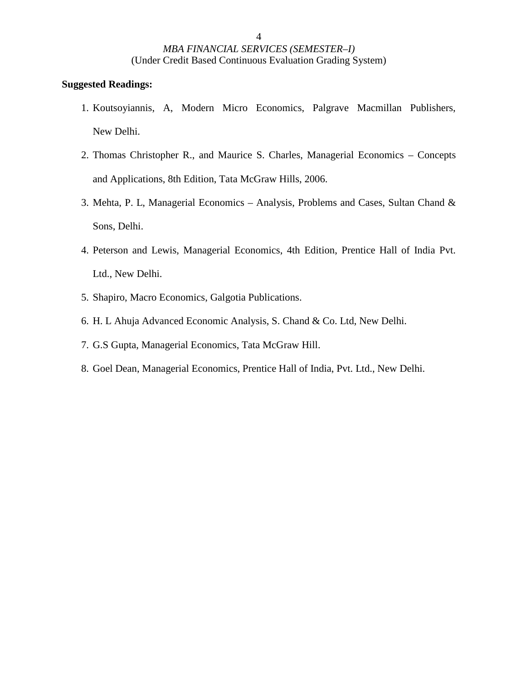- 1. Koutsoyiannis, A, Modern Micro Economics, Palgrave Macmillan Publishers, New Delhi.
- 2. Thomas Christopher R., and Maurice S. Charles, Managerial Economics Concepts and Applications, 8th Edition, Tata McGraw Hills, 2006.
- 3. Mehta, P. L, Managerial Economics Analysis, Problems and Cases, Sultan Chand & Sons, Delhi.
- 4. Peterson and Lewis, Managerial Economics, 4th Edition, Prentice Hall of India Pvt. Ltd., New Delhi.
- 5. Shapiro, Macro Economics, Galgotia Publications.
- 6. H. L Ahuja Advanced Economic Analysis, S. Chand & Co. Ltd, New Delhi.
- 7. G.S Gupta, Managerial Economics, Tata McGraw Hill.
- 8. Goel Dean, Managerial Economics, Prentice Hall of India, Pvt. Ltd., New Delhi.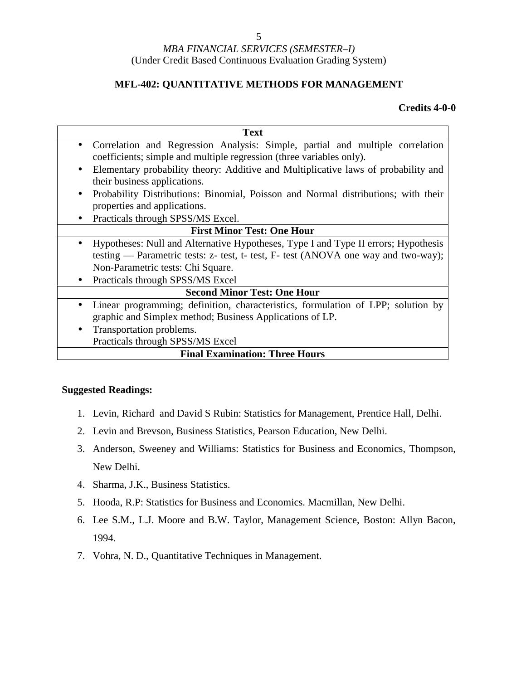#### **MFL-402: QUANTITATIVE METHODS FOR MANAGEMENT**

#### **Credits 4-0-0**

|           | <b>Text</b>                                                                        |
|-----------|------------------------------------------------------------------------------------|
| $\bullet$ | Correlation and Regression Analysis: Simple, partial and multiple correlation      |
|           | coefficients; simple and multiple regression (three variables only).               |
| $\bullet$ | Elementary probability theory: Additive and Multiplicative laws of probability and |
|           | their business applications.                                                       |
| $\bullet$ | Probability Distributions: Binomial, Poisson and Normal distributions; with their  |
|           | properties and applications.                                                       |
| $\bullet$ | Practicals through SPSS/MS Excel.                                                  |
|           | <b>First Minor Test: One Hour</b>                                                  |
| $\bullet$ | Hypotheses: Null and Alternative Hypotheses, Type I and Type II errors; Hypothesis |
|           | testing — Parametric tests: z- test, t- test, F- test (ANOVA one way and two-way); |
|           | Non-Parametric tests: Chi Square.                                                  |
| $\bullet$ | Practicals through SPSS/MS Excel                                                   |
|           | <b>Second Minor Test: One Hour</b>                                                 |
| $\bullet$ | Linear programming; definition, characteristics, formulation of LPP; solution by   |
|           | graphic and Simplex method; Business Applications of LP.                           |
| $\bullet$ | Transportation problems.                                                           |
|           | Practicals through SPSS/MS Excel                                                   |
|           | <b>Final Examination: Three Hours</b>                                              |

- 1. Levin, Richard and David S Rubin: Statistics for Management, Prentice Hall, Delhi.
- 2. Levin and Brevson, Business Statistics, Pearson Education, New Delhi.
- 3. Anderson, Sweeney and Williams: Statistics for Business and Economics, Thompson, New Delhi.
- 4. Sharma, J.K., Business Statistics.
- 5. Hooda, R.P: Statistics for Business and Economics. Macmillan, New Delhi.
- 6. Lee S.M., L.J. Moore and B.W. Taylor, Management Science, Boston: Allyn Bacon, 1994.
- 7. Vohra, N. D., Quantitative Techniques in Management.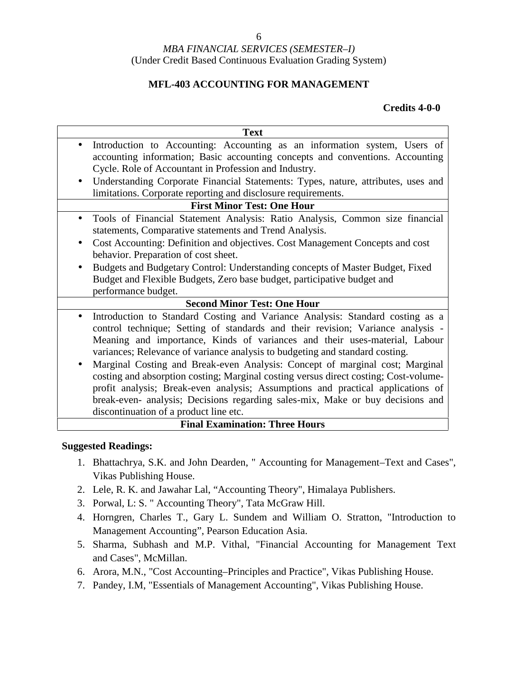### **MFL-403 ACCOUNTING FOR MANAGEMENT**

#### **Credits 4-0-0**

| <b>Text</b>                                                                                                                                                                                                                                                                                                                                                                                                                              |
|------------------------------------------------------------------------------------------------------------------------------------------------------------------------------------------------------------------------------------------------------------------------------------------------------------------------------------------------------------------------------------------------------------------------------------------|
| Introduction to Accounting: Accounting as an information system, Users of<br>$\bullet$                                                                                                                                                                                                                                                                                                                                                   |
| accounting information; Basic accounting concepts and conventions. Accounting                                                                                                                                                                                                                                                                                                                                                            |
| Cycle. Role of Accountant in Profession and Industry.                                                                                                                                                                                                                                                                                                                                                                                    |
| Understanding Corporate Financial Statements: Types, nature, attributes, uses and<br>$\bullet$                                                                                                                                                                                                                                                                                                                                           |
| limitations. Corporate reporting and disclosure requirements.                                                                                                                                                                                                                                                                                                                                                                            |
| <b>First Minor Test: One Hour</b>                                                                                                                                                                                                                                                                                                                                                                                                        |
| Tools of Financial Statement Analysis: Ratio Analysis, Common size financial<br>$\bullet$<br>statements, Comparative statements and Trend Analysis.                                                                                                                                                                                                                                                                                      |
| Cost Accounting: Definition and objectives. Cost Management Concepts and cost<br>$\bullet$                                                                                                                                                                                                                                                                                                                                               |
| behavior. Preparation of cost sheet.                                                                                                                                                                                                                                                                                                                                                                                                     |
| Budgets and Budgetary Control: Understanding concepts of Master Budget, Fixed                                                                                                                                                                                                                                                                                                                                                            |
| Budget and Flexible Budgets, Zero base budget, participative budget and                                                                                                                                                                                                                                                                                                                                                                  |
| performance budget.                                                                                                                                                                                                                                                                                                                                                                                                                      |
| <b>Second Minor Test: One Hour</b>                                                                                                                                                                                                                                                                                                                                                                                                       |
| Introduction to Standard Costing and Variance Analysis: Standard costing as a<br>$\bullet$<br>control technique; Setting of standards and their revision; Variance analysis -<br>Meaning and importance, Kinds of variances and their uses-material, Labour<br>variances; Relevance of variance analysis to budgeting and standard costing.<br>Marginal Costing and Break-even Analysis: Concept of marginal cost; Marginal<br>$\bullet$ |
| costing and absorption costing; Marginal costing versus direct costing; Cost-volume-<br>profit analysis; Break-even analysis; Assumptions and practical applications of<br>break-even- analysis; Decisions regarding sales-mix, Make or buy decisions and                                                                                                                                                                                |
| discontinuation of a product line etc.                                                                                                                                                                                                                                                                                                                                                                                                   |
| <b>Final Examination: Three Hours</b>                                                                                                                                                                                                                                                                                                                                                                                                    |

- 1. Bhattachrya, S.K. and John Dearden, " Accounting for Management–Text and Cases", Vikas Publishing House.
- 2. Lele, R. K. and Jawahar Lal, "Accounting Theory", Himalaya Publishers.
- 3. Porwal, L: S. " Accounting Theory", Tata McGraw Hill.
- 4. Horngren, Charles T., Gary L. Sundem and William O. Stratton, "Introduction to Management Accounting", Pearson Education Asia.
- 5. Sharma, Subhash and M.P. Vithal, "Financial Accounting for Management Text and Cases", McMillan.
- 6. Arora, M.N., "Cost Accounting–Principles and Practice", Vikas Publishing House.
- 7. Pandey, I.M, "Essentials of Management Accounting", Vikas Publishing House.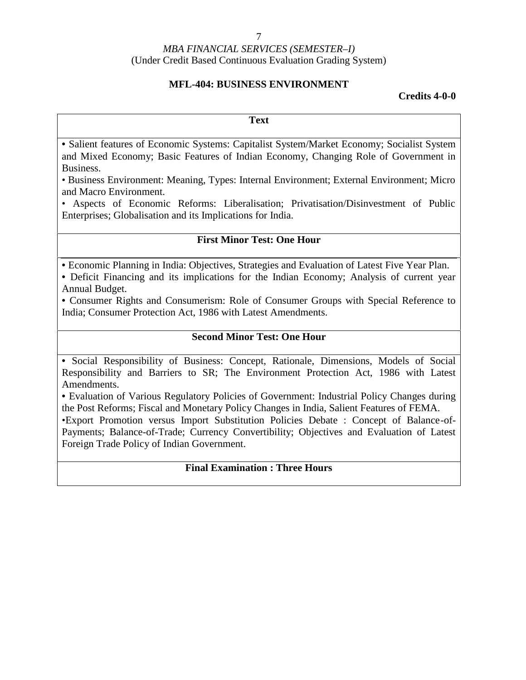#### 7

#### *MBA FINANCIAL SERVICES (SEMESTER–I)* (Under Credit Based Continuous Evaluation Grading System)

#### **MFL-404: BUSINESS ENVIRONMENT**

#### **Credits 4-0-0**

**Text**

• Salient features of Economic Systems: Capitalist System/Market Economy; Socialist System and Mixed Economy; Basic Features of Indian Economy, Changing Role of Government in Business.

• Business Environment: Meaning, Types: Internal Environment; External Environment; Micro and Macro Environment.

• Aspects of Economic Reforms: Liberalisation; Privatisation/Disinvestment of Public Enterprises; Globalisation and its Implications for India.

#### **First Minor Test: One Hour**

• Economic Planning in India: Objectives, Strategies and Evaluation of Latest Five Year Plan.

• Deficit Financing and its implications for the Indian Economy; Analysis of current year Annual Budget.

• Consumer Rights and Consumerism: Role of Consumer Groups with Special Reference to India; Consumer Protection Act, 1986 with Latest Amendments.

#### **Second Minor Test: One Hour**

• Social Responsibility of Business: Concept, Rationale, Dimensions, Models of Social Responsibility and Barriers to SR; The Environment Protection Act, 1986 with Latest Amendments.

• Evaluation of Various Regulatory Policies of Government: Industrial Policy Changes during the Post Reforms; Fiscal and Monetary Policy Changes in India, Salient Features of FEMA.

•Export Promotion versus Import Substitution Policies Debate : Concept of Balance-of- Payments; Balance-of-Trade; Currency Convertibility; Objectives and Evaluation of Latest Foreign Trade Policy of Indian Government.

#### **Final Examination : Three Hours**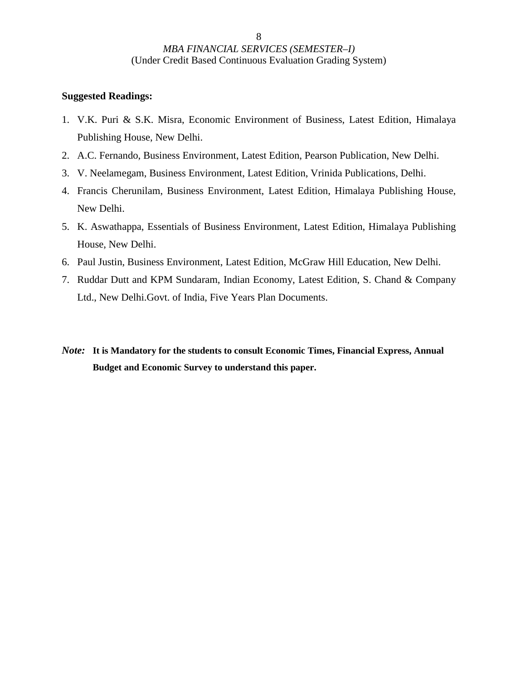- 1. V.K. Puri & S.K. Misra, Economic Environment of Business, Latest Edition, Himalaya Publishing House, New Delhi.
- 2. A.C. Fernando, Business Environment, Latest Edition, Pearson Publication, New Delhi.
- 3. V. Neelamegam, Business Environment, Latest Edition, Vrinida Publications, Delhi.
- 4. Francis Cherunilam, Business Environment, Latest Edition, Himalaya Publishing House, New Delhi.
- 5. K. Aswathappa, Essentials of Business Environment, Latest Edition, Himalaya Publishing House, New Delhi.
- 6. Paul Justin, Business Environment, Latest Edition, McGraw Hill Education, New Delhi.
- 7. Ruddar Dutt and KPM Sundaram, Indian Economy, Latest Edition, S. Chand & Company Ltd., New Delhi.Govt. of India, Five Years Plan Documents.
- *Note:* **It is Mandatory for the students to consult Economic Times, Financial Express, Annual Budget and Economic Survey to understand this paper.**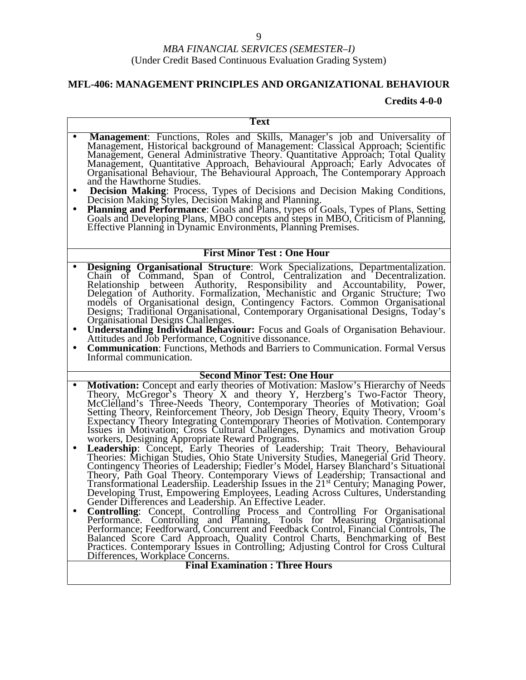### **MFL-406: MANAGEMENT PRINCIPLES AND ORGANIZATIONAL BEHAVIOUR**

|                        | <b>Text</b>                                                                                                                                                                                                                                                                                                                                                                                                                                                                                                                                                                                                                                                                                                                                                                                              |
|------------------------|----------------------------------------------------------------------------------------------------------------------------------------------------------------------------------------------------------------------------------------------------------------------------------------------------------------------------------------------------------------------------------------------------------------------------------------------------------------------------------------------------------------------------------------------------------------------------------------------------------------------------------------------------------------------------------------------------------------------------------------------------------------------------------------------------------|
|                        | Management: Functions, Roles and Skills, Manager's job and Universality of<br>Management, Historical background of Management: Classical Approach; Scientific Management, General Administrative Theory. Quantitative Approach; Total Quality<br>Management, Quantitative Approach, Behavioural Approach; Early Advocates of<br>Organisational Behaviour, The Behavioural Approach, The Contemporary Approach<br>and the Hawthorne Studies.                                                                                                                                                                                                                                                                                                                                                              |
| $\bullet$<br>$\bullet$ | Decision Making: Process, Types of Decisions and Decision Making Conditions,<br>Decision Making Styles, Decision Making and Planning.<br><b>Planning and Performance:</b> Goals and Plans, types of Goals, Types of Plans, Setting<br>Goals and Developing Plans, MBO concepts and steps in MBO, Criticism of Planning,<br>Effective Planning in Dynamic Environments, Planning Premises.                                                                                                                                                                                                                                                                                                                                                                                                                |
|                        | <b>First Minor Test: One Hour</b>                                                                                                                                                                                                                                                                                                                                                                                                                                                                                                                                                                                                                                                                                                                                                                        |
| $\bullet$              | <b>Designing Organisational Structure:</b> Work Specializations, Departmentalization.<br>Chain of Command, Span of Control, Centralization and Decentralization.<br>Relationship between Authority, Responsibility and Accountability, Power, Delegation of Authority. Formalization, Mechanistic and Organic Structure; Two<br>models of Organisational design, Contingency Factors. Common Organisational Designs; Traditional Organisational, Contemporary Organisational Designs, Today's<br>Organisational Designs Challenges.<br><b>Understanding Individual Behaviour:</b> Focus and Goals of Organisation Behaviour.<br>Attitudes and Job Performance, Cognitive dissonance.<br><b>Communication:</b> Functions, Methods and Barriers to Communication. Formal Versus<br>Informal communication. |
|                        | <b>Second Minor Test: One Hour</b>                                                                                                                                                                                                                                                                                                                                                                                                                                                                                                                                                                                                                                                                                                                                                                       |
| $\bullet$<br>$\bullet$ | Motivation: Concept and early theories of Motivation: Maslow's Hierarchy of Needs<br>Theory, McGregor's Theory X and theory Y, Herzberg's Two-Factor Theory,<br>McClelland's Three-Needs Theory, Contemporary Theories of Motivation<br>Expectancy Theory Integrating Contemporary Theories of Motivation. Contemporary<br>Issues in Motivation; Cross Cultural Challenges, Dynamics and motivation Group<br>workers, Designing Appropriate Reward Programs.<br>Leadership: Concept, Early Theories of Leadership; Trait Theory, Behavioural                                                                                                                                                                                                                                                             |
|                        | Theories: Michigan Studies, Ohio State University Studies, Manegerial Grid Theory.<br>Contingency Theories of Leadership; Fiedler's Model, Harsey Blanchard's Situational<br>Theory, Path Goal Theory. Contemporary Views of Leadership; Transactional and<br>Transformational Leadership. Leadership Issues in the 21 <sup>st</sup> Century; Managing Power,<br>Developing Trust, Empowering Employees, Leading Across Cultures, Understanding Gender Differences and Leadership. An Effective Leader.<br>Controlling: Concept, Controlling Process and Controlling For Organisational Performance. Controlling and Planning, Tools for Measuring Organisational                                                                                                                                        |
|                        | Performance; Feedforward, Concurrent and Feedback Control, Financial Controls, The<br>Balanced Score Card Approach, Quality Control Charts, Benchmarking of Best<br>Practices. Contemporary Issues in Controlling; Adjusting Control for Cross Cultural<br>Differences, Workplace Concerns.<br><b>Final Examination: Three Hours</b>                                                                                                                                                                                                                                                                                                                                                                                                                                                                     |
|                        |                                                                                                                                                                                                                                                                                                                                                                                                                                                                                                                                                                                                                                                                                                                                                                                                          |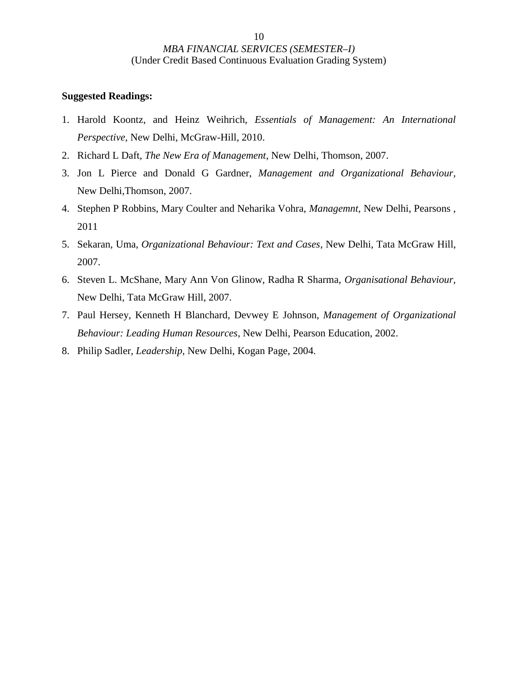- 1. Harold Koontz, and Heinz Weihrich, *Essentials of Management: An International Perspective,* New Delhi, McGraw-Hill, 2010.
- 2. Richard L Daft, *The New Era of Management*, New Delhi, Thomson, 2007.
- 3. Jon L Pierce and Donald G Gardner, *Management and Organizational Behaviour,* New Delhi,Thomson, 2007.
- 4. Stephen P Robbins, Mary Coulter and Neharika Vohra, *Managemnt,* New Delhi, Pearsons , 2011
- 5. Sekaran, Uma, *Organizational Behaviour: Text and Cases*, New Delhi, Tata McGraw Hill, 2007.
- 6. Steven L. McShane, Mary Ann Von Glinow, Radha R Sharma, *Organisational Behaviour,* New Delhi, Tata McGraw Hill, 2007.
- 7. Paul Hersey, Kenneth H Blanchard, Devwey E Johnson, *Management of Organizational Behaviour: Leading Human Resources*, New Delhi, Pearson Education, 2002.
- 8. Philip Sadler, *Leadership,* New Delhi, Kogan Page, 2004.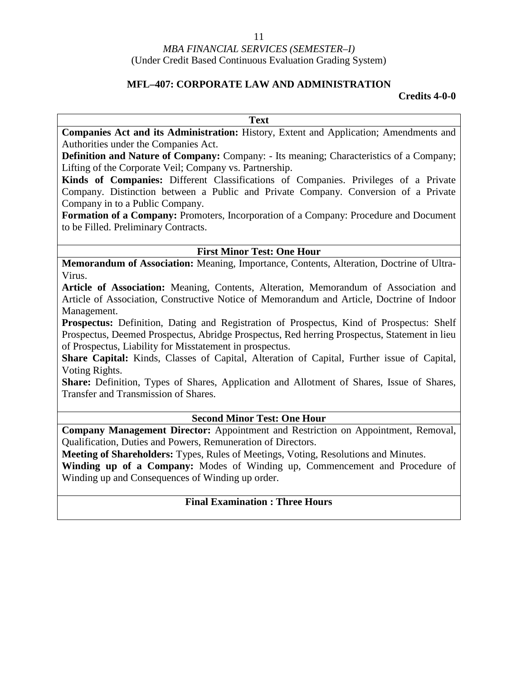#### **MFL–407: CORPORATE LAW AND ADMINISTRATION**

#### **Credits 4-0-0**

**Text**

**Companies Act and its Administration:** History, Extent and Application; Amendments and Authorities under the Companies Act.

**Definition and Nature of Company:** Company: - Its meaning; Characteristics of a Company; Lifting of the Corporate Veil; Company vs. Partnership.

**Kinds of Companies:** Different Classifications of Companies. Privileges of a Private Company. Distinction between a Public and Private Company. Conversion of a Private Company in to a Public Company.

**Formation of a Company:** Promoters, Incorporation of a Company: Procedure and Document to be Filled. Preliminary Contracts.

#### **First Minor Test: One Hour**

**Memorandum of Association:** Meaning, Importance, Contents, Alteration, Doctrine of Ultra- Virus.

**Article of Association:** Meaning, Contents, Alteration, Memorandum of Association and Article of Association, Constructive Notice of Memorandum and Article, Doctrine of Indoor Management.

**Prospectus:** Definition, Dating and Registration of Prospectus, Kind of Prospectus: Shelf Prospectus, Deemed Prospectus, Abridge Prospectus, Red herring Prospectus, Statement in lieu of Prospectus, Liability for Misstatement in prospectus.

**Share Capital:** Kinds, Classes of Capital, Alteration of Capital, Further issue of Capital, Voting Rights.

**Share:** Definition, Types of Shares, Application and Allotment of Shares, Issue of Shares, Transfer and Transmission of Shares.

#### **Second Minor Test: One Hour**

**Company Management Director:** Appointment and Restriction on Appointment, Removal, Qualification, Duties and Powers, Remuneration of Directors.

**Meeting of Shareholders:** Types, Rules of Meetings, Voting, Resolutions and Minutes.

**Winding up of a Company:** Modes of Winding up, Commencement and Procedure of Winding up and Consequences of Winding up order.

#### **Final Examination : Three Hours**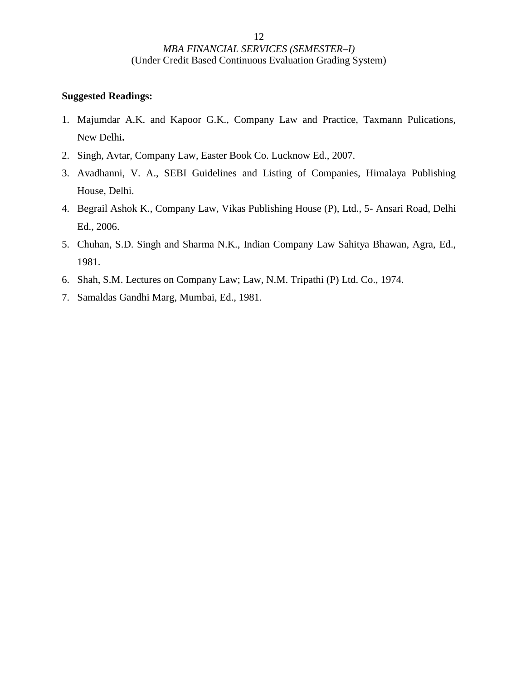- 1. Majumdar A.K. and Kapoor G.K., Company Law and Practice, Taxmann Pulications, New Delhi**.**
- 2. Singh, Avtar, Company Law, Easter Book Co. Lucknow Ed., 2007.
- 3. Avadhanni, V. A., SEBI Guidelines and Listing of Companies, Himalaya Publishing House, Delhi.
- 4. Begrail Ashok K., Company Law, Vikas Publishing House (P), Ltd., 5- Ansari Road, Delhi Ed., 2006.
- 5. Chuhan, S.D. Singh and Sharma N.K., Indian Company Law Sahitya Bhawan, Agra, Ed., 1981.
- 6. Shah, S.M. Lectures on Company Law; Law, N.M. Tripathi (P) Ltd. Co., 1974.
- 7. Samaldas Gandhi Marg, Mumbai, Ed., 1981.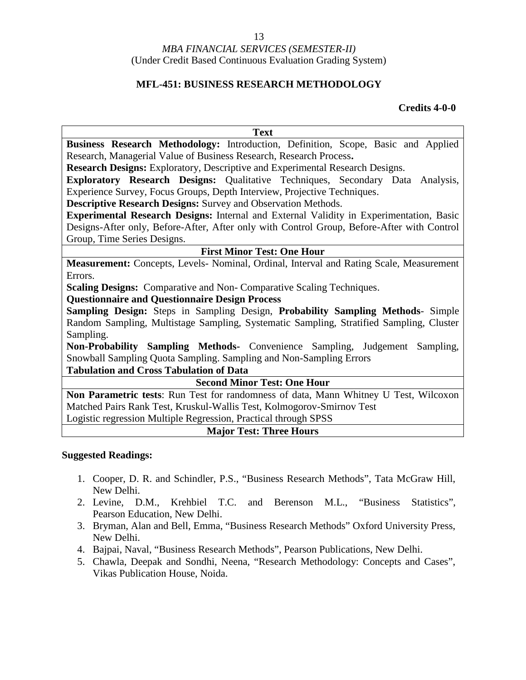#### **MFL-451: BUSINESS RESEARCH METHODOLOGY**

#### **Credits 4-0-0**

| <b>Text</b>                                                                                |
|--------------------------------------------------------------------------------------------|
| Business Research Methodology: Introduction, Definition, Scope, Basic and Applied          |
| Research, Managerial Value of Business Research, Research Process.                         |
| <b>Research Designs:</b> Exploratory, Descriptive and Experimental Research Designs.       |
| Exploratory Research Designs: Qualitative Techniques, Secondary Data Analysis,             |
| Experience Survey, Focus Groups, Depth Interview, Projective Techniques.                   |
| <b>Descriptive Research Designs:</b> Survey and Observation Methods.                       |
| Experimental Research Designs: Internal and External Validity in Experimentation, Basic    |
| Designs-After only, Before-After, After only with Control Group, Before-After with Control |
| Group, Time Series Designs.                                                                |
| <b>First Minor Test: One Hour</b>                                                          |
| Measurement: Concepts, Levels- Nominal, Ordinal, Interval and Rating Scale, Measurement    |
| Errors.                                                                                    |
| <b>Scaling Designs:</b> Comparative and Non-Comparative Scaling Techniques.                |
| <b>Questionnaire and Questionnaire Design Process</b>                                      |
| Sampling Design: Steps in Sampling Design, Probability Sampling Methods- Simple            |
| Random Sampling, Multistage Sampling, Systematic Sampling, Stratified Sampling, Cluster    |
| Sampling.                                                                                  |
| Non-Probability Sampling Methods- Convenience Sampling, Judgement Sampling,                |
| Snowball Sampling Quota Sampling. Sampling and Non-Sampling Errors                         |
| <b>Tabulation and Cross Tabulation of Data</b>                                             |
| <b>Second Minor Test: One Hour</b>                                                         |
| Non Parametric tests: Run Test for randomness of data, Mann Whitney U Test, Wilcoxon       |
| Matched Pairs Rank Test, Kruskul-Wallis Test, Kolmogorov-Smirnov Test                      |
| Logistic regression Multiple Regression, Practical through SPSS                            |
| <b>Major Test: Three Hours</b>                                                             |

- 1. Cooper, D. R. and Schindler, P.S., "Business Research Methods", Tata McGraw Hill, New Delhi.
- 2. Levine, D.M., Krehbiel T.C. and Berenson M.L., "Business Statistics", Pearson Education, New Delhi.
- 3. Bryman, Alan and Bell, Emma, "Business Research Methods" Oxford University Press, New Delhi.
- 4. Bajpai, Naval, "Business Research Methods", Pearson Publications, New Delhi.
- 5. Chawla, Deepak and Sondhi, Neena, "Research Methodology: Concepts and Cases", Vikas Publication House, Noida.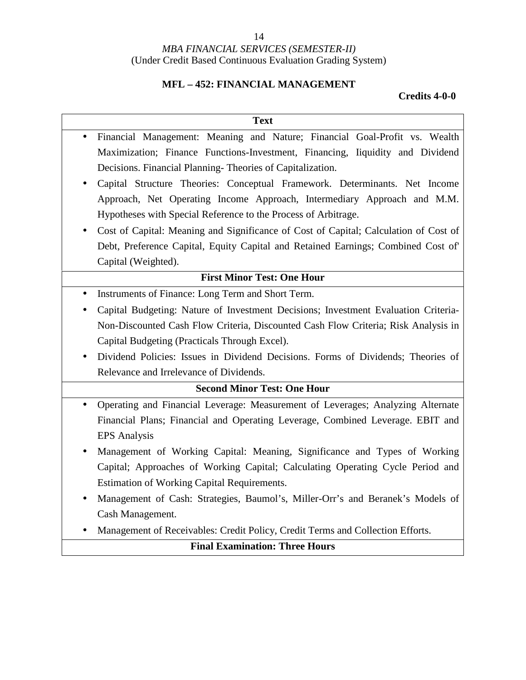#### 14

### *MBA FINANCIAL SERVICES (SEMESTER-II)* (Under Credit Based Continuous Evaluation Grading System)

### **MFL – 452: FINANCIAL MANAGEMENT**

| <b>Text</b>                                                                             |
|-----------------------------------------------------------------------------------------|
| Financial Management: Meaning and Nature; Financial Goal-Profit vs. Wealth<br>$\bullet$ |
| Maximization; Finance Functions-Investment, Financing, Iiquidity and Dividend           |
| Decisions. Financial Planning-Theories of Capitalization.                               |
| Capital Structure Theories: Conceptual Framework. Determinants. Net Income              |
| Approach, Net Operating Income Approach, Intermediary Approach and M.M.                 |
| Hypotheses with Special Reference to the Process of Arbitrage.                          |
| Cost of Capital: Meaning and Significance of Cost of Capital; Calculation of Cost of    |
| Debt, Preference Capital, Equity Capital and Retained Earnings; Combined Cost of        |
| Capital (Weighted).                                                                     |
| <b>First Minor Test: One Hour</b>                                                       |
| Instruments of Finance: Long Term and Short Term.                                       |
| Capital Budgeting: Nature of Investment Decisions; Investment Evaluation Criteria-      |
| Non-Discounted Cash Flow Criteria, Discounted Cash Flow Criteria; Risk Analysis in      |
| Capital Budgeting (Practicals Through Excel).                                           |
| Dividend Policies: Issues in Dividend Decisions. Forms of Dividends; Theories of        |
| Relevance and Irrelevance of Dividends.                                                 |
| <b>Second Minor Test: One Hour</b>                                                      |
| Operating and Financial Leverage: Measurement of Leverages; Analyzing Alternate         |
| Financial Plans; Financial and Operating Leverage, Combined Leverage. EBIT and          |
| <b>EPS</b> Analysis                                                                     |
| Management of Working Capital: Meaning, Significance and Types of Working               |
| Capital; Approaches of Working Capital; Calculating Operating Cycle Period and          |
| Estimation of Working Capital Requirements.                                             |
| Management of Cash: Strategies, Baumol's, Miller-Orr's and Beranek's Models of          |
| Cash Management.                                                                        |
| Management of Receivables: Credit Policy, Credit Terms and Collection Efforts.          |
| <b>Final Examination: Three Hours</b>                                                   |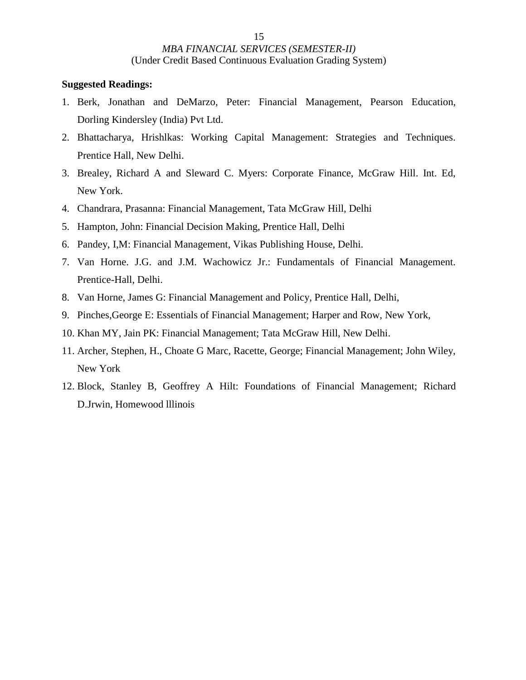- 1. Berk, Jonathan and DeMarzo, Peter: Financial Management, Pearson Education, Dorling Kindersley (India) Pvt Ltd.
- 2. Bhattacharya, Hrishlkas: Working Capital Management: Strategies and Techniques. Prentice Hall, New Delhi.
- 3. Brealey, Richard A and Sleward C. Myers: Corporate Finance, McGraw Hill. Int. Ed, New York.
- 4. Chandrara, Prasanna: Financial Management, Tata McGraw Hill, Delhi
- 5. Hampton, John: Financial Decision Making, Prentice Hall, Delhi
- 6. Pandey, I,M: Financial Management, Vikas Publishing House, Delhi.
- 7. Van Horne. J.G. and J.M. Wachowicz Jr.: Fundamentals of Financial Management. Prentice-Hall, Delhi.
- 8. Van Horne, James G: Financial Management and Policy, Prentice Hall, Delhi,
- 9. Pinches,George E: Essentials of Financial Management; Harper and Row, New York,
- 10. Khan MY, Jain PK: Financial Management; Tata McGraw Hill, New Delhi.
- 11. Archer, Stephen, H., Choate G Marc, Racette, George; Financial Management; John Wiley, New York
- 12. Block, Stanley B, Geoffrey A Hilt: Foundations of Financial Management; Richard D.Jrwin, Homewood lllinois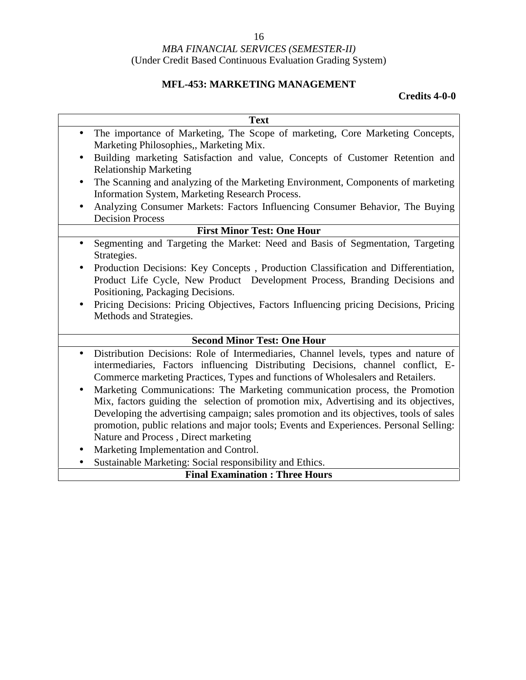### **MFL-453: MARKETING MANAGEMENT**

| <b>Text</b>                                                                                                                                                                                                                                                                                                                                                                                                                                                  |
|--------------------------------------------------------------------------------------------------------------------------------------------------------------------------------------------------------------------------------------------------------------------------------------------------------------------------------------------------------------------------------------------------------------------------------------------------------------|
| The importance of Marketing, The Scope of marketing, Core Marketing Concepts,<br>$\bullet$<br>Marketing Philosophies,, Marketing Mix.                                                                                                                                                                                                                                                                                                                        |
| Building marketing Satisfaction and value, Concepts of Customer Retention and<br>$\bullet$                                                                                                                                                                                                                                                                                                                                                                   |
| <b>Relationship Marketing</b>                                                                                                                                                                                                                                                                                                                                                                                                                                |
| The Scanning and analyzing of the Marketing Environment, Components of marketing<br>$\bullet$<br>Information System, Marketing Research Process.                                                                                                                                                                                                                                                                                                             |
| Analyzing Consumer Markets: Factors Influencing Consumer Behavior, The Buying<br><b>Decision Process</b>                                                                                                                                                                                                                                                                                                                                                     |
| <b>First Minor Test: One Hour</b>                                                                                                                                                                                                                                                                                                                                                                                                                            |
| Segmenting and Targeting the Market: Need and Basis of Segmentation, Targeting<br>$\bullet$<br>Strategies.                                                                                                                                                                                                                                                                                                                                                   |
| Production Decisions: Key Concepts, Production Classification and Differentiation,<br>Product Life Cycle, New Product Development Process, Branding Decisions and<br>Positioning, Packaging Decisions.                                                                                                                                                                                                                                                       |
| Pricing Decisions: Pricing Objectives, Factors Influencing pricing Decisions, Pricing<br>Methods and Strategies.                                                                                                                                                                                                                                                                                                                                             |
| <b>Second Minor Test: One Hour</b>                                                                                                                                                                                                                                                                                                                                                                                                                           |
| Distribution Decisions: Role of Intermediaries, Channel levels, types and nature of<br>$\bullet$<br>intermediaries, Factors influencing Distributing Decisions, channel conflict, E-<br>Commerce marketing Practices, Types and functions of Wholesalers and Retailers.<br>Marketing Communications: The Marketing communication process, the Promotion<br>$\bullet$<br>Mix, factors guiding the selection of promotion mix, Advertising and its objectives, |
| Developing the advertising campaign; sales promotion and its objectives, tools of sales<br>promotion, public relations and major tools; Events and Experiences. Personal Selling:<br>Nature and Process, Direct marketing                                                                                                                                                                                                                                    |
| Marketing Implementation and Control.                                                                                                                                                                                                                                                                                                                                                                                                                        |
| Sustainable Marketing: Social responsibility and Ethics.<br>$\bullet$                                                                                                                                                                                                                                                                                                                                                                                        |
| <b>Final Examination: Three Hours</b>                                                                                                                                                                                                                                                                                                                                                                                                                        |
|                                                                                                                                                                                                                                                                                                                                                                                                                                                              |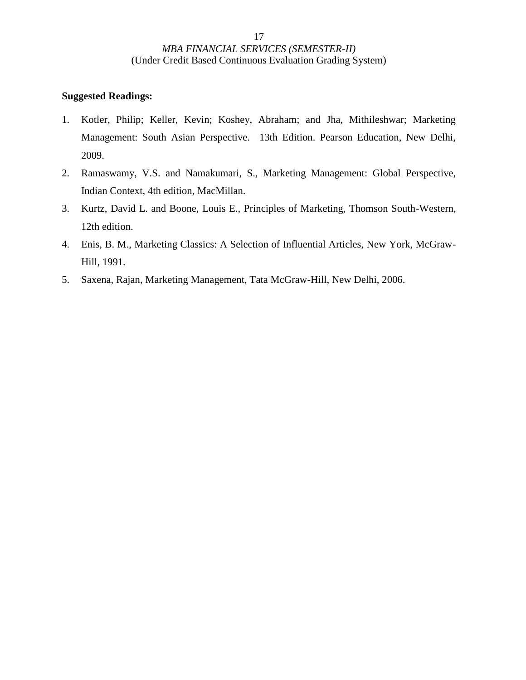- 1. Kotler, Philip; Keller, Kevin; Koshey, Abraham; and Jha, Mithileshwar; Marketing Management: South Asian Perspective. 13th Edition. Pearson Education, New Delhi, 2009.
- 2. Ramaswamy, V.S. and Namakumari, S., Marketing Management: Global Perspective, Indian Context, 4th edition, MacMillan.
- 3. Kurtz, David L. and Boone, Louis E., Principles of Marketing, Thomson South-Western, 12th edition.
- 4. Enis, B. M., Marketing Classics: A Selection of Influential Articles, New York, McGraw- Hill, 1991.
- 5. Saxena, Rajan, Marketing Management, Tata McGraw-Hill, New Delhi, 2006.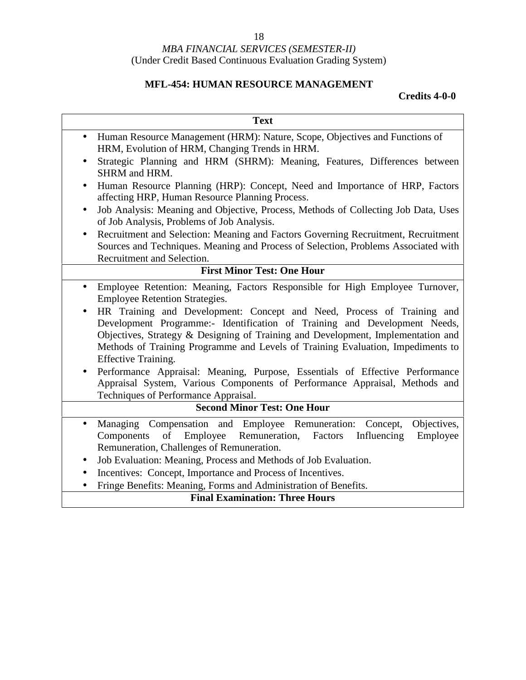### **MFL-454: HUMAN RESOURCE MANAGEMENT**

|                        | <b>Text</b>                                                                                                                                                                                                                                                                                                                                                                                                                                                                                                                                                                                                                                                                             |
|------------------------|-----------------------------------------------------------------------------------------------------------------------------------------------------------------------------------------------------------------------------------------------------------------------------------------------------------------------------------------------------------------------------------------------------------------------------------------------------------------------------------------------------------------------------------------------------------------------------------------------------------------------------------------------------------------------------------------|
| $\bullet$              | Human Resource Management (HRM): Nature, Scope, Objectives and Functions of<br>HRM, Evolution of HRM, Changing Trends in HRM.                                                                                                                                                                                                                                                                                                                                                                                                                                                                                                                                                           |
| $\bullet$              | Strategic Planning and HRM (SHRM): Meaning, Features, Differences between<br><b>SHRM</b> and HRM.                                                                                                                                                                                                                                                                                                                                                                                                                                                                                                                                                                                       |
| $\bullet$              | Human Resource Planning (HRP): Concept, Need and Importance of HRP, Factors<br>affecting HRP, Human Resource Planning Process.                                                                                                                                                                                                                                                                                                                                                                                                                                                                                                                                                          |
| $\bullet$              | Job Analysis: Meaning and Objective, Process, Methods of Collecting Job Data, Uses<br>of Job Analysis, Problems of Job Analysis.                                                                                                                                                                                                                                                                                                                                                                                                                                                                                                                                                        |
| $\bullet$              | Recruitment and Selection: Meaning and Factors Governing Recruitment, Recruitment<br>Sources and Techniques. Meaning and Process of Selection, Problems Associated with<br>Recruitment and Selection.                                                                                                                                                                                                                                                                                                                                                                                                                                                                                   |
|                        | <b>First Minor Test: One Hour</b>                                                                                                                                                                                                                                                                                                                                                                                                                                                                                                                                                                                                                                                       |
| $\bullet$<br>$\bullet$ | Employee Retention: Meaning, Factors Responsible for High Employee Turnover,<br><b>Employee Retention Strategies.</b><br>HR Training and Development: Concept and Need, Process of Training and<br>Development Programme:- Identification of Training and Development Needs,<br>Objectives, Strategy & Designing of Training and Development, Implementation and<br>Methods of Training Programme and Levels of Training Evaluation, Impediments to<br><b>Effective Training.</b><br>Performance Appraisal: Meaning, Purpose, Essentials of Effective Performance<br>Appraisal System, Various Components of Performance Appraisal, Methods and<br>Techniques of Performance Appraisal. |
|                        | <b>Second Minor Test: One Hour</b>                                                                                                                                                                                                                                                                                                                                                                                                                                                                                                                                                                                                                                                      |
| $\bullet$<br>$\bullet$ | Managing Compensation and Employee Remuneration: Concept,<br>Objectives,<br>Employee<br>Remuneration, Factors<br>Employee<br>Components<br>of<br>Influencing<br>Remuneration, Challenges of Remuneration.<br>Job Evaluation: Meaning, Process and Methods of Job Evaluation.                                                                                                                                                                                                                                                                                                                                                                                                            |
| $\bullet$              | Incentives: Concept, Importance and Process of Incentives.                                                                                                                                                                                                                                                                                                                                                                                                                                                                                                                                                                                                                              |
| $\bullet$              | Fringe Benefits: Meaning, Forms and Administration of Benefits.                                                                                                                                                                                                                                                                                                                                                                                                                                                                                                                                                                                                                         |
|                        | <b>Final Examination: Three Hours</b>                                                                                                                                                                                                                                                                                                                                                                                                                                                                                                                                                                                                                                                   |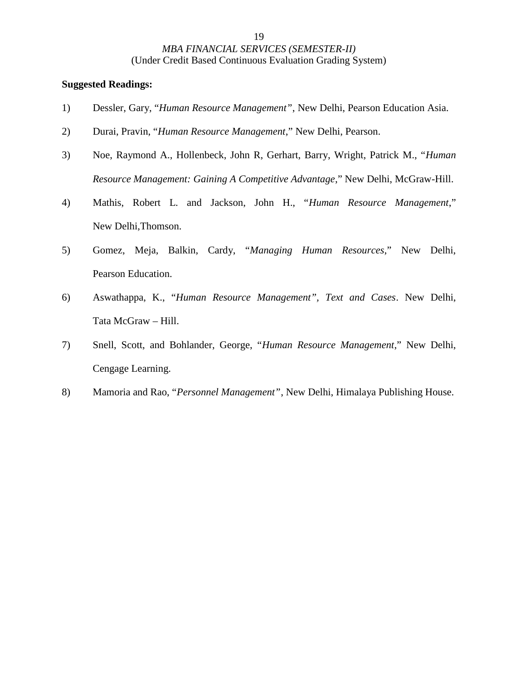- 1) Dessler, Gary, "*Human Resource Management"*, New Delhi, Pearson Education Asia.
- 2) Durai, Pravin, "*Human Resource Management*," New Delhi, Pearson.
- 3) Noe, Raymond A., Hollenbeck, John R, Gerhart, Barry, Wright, Patrick M., "*Human Resource Management: Gaining A Competitive Advantage*," New Delhi, McGraw-Hill.
- 4) Mathis, Robert L. and Jackson, John H., "*Human Resource Management*," New Delhi,Thomson.
- 5) Gomez, Meja, Balkin, Cardy, "*Managing Human Resources*," New Delhi, Pearson Education.
- 6) Aswathappa, K., "*Human Resource Management", Text and Cases*. New Delhi, Tata McGraw – Hill.
- 7) Snell, Scott, and Bohlander, George, "*Human Resource Management*," New Delhi, Cengage Learning.
- 8) Mamoria and Rao, "*Personnel Management"*, New Delhi, Himalaya Publishing House.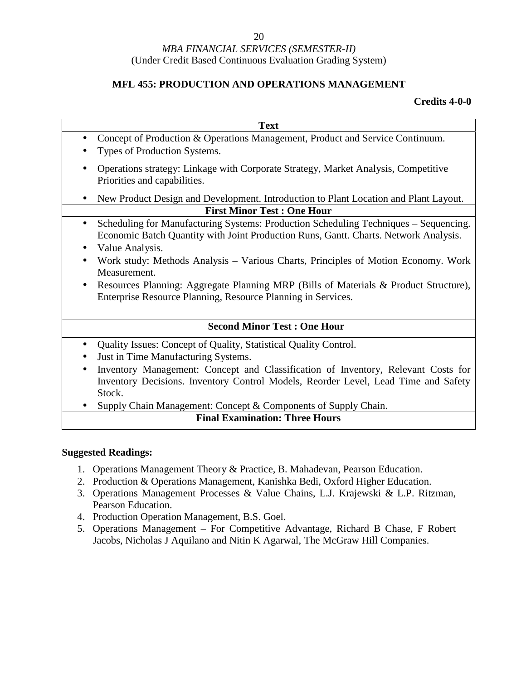### **MFL 455: PRODUCTION AND OPERATIONS MANAGEMENT**

#### **Credits 4-0-0**

|                                   | <b>Text</b>                                                                                                                                                                       |  |
|-----------------------------------|-----------------------------------------------------------------------------------------------------------------------------------------------------------------------------------|--|
| $\bullet$                         | Concept of Production & Operations Management, Product and Service Continuum.                                                                                                     |  |
|                                   | Types of Production Systems.                                                                                                                                                      |  |
| $\bullet$                         | Operations strategy: Linkage with Corporate Strategy, Market Analysis, Competitive<br>Priorities and capabilities.                                                                |  |
|                                   | New Product Design and Development. Introduction to Plant Location and Plant Layout.                                                                                              |  |
| <b>First Minor Test: One Hour</b> |                                                                                                                                                                                   |  |
|                                   | Scheduling for Manufacturing Systems: Production Scheduling Techniques – Sequencing.<br>Economic Batch Quantity with Joint Production Runs, Gantt. Charts. Network Analysis.      |  |
|                                   | Value Analysis.                                                                                                                                                                   |  |
|                                   | Work study: Methods Analysis – Various Charts, Principles of Motion Economy. Work<br>Measurement.                                                                                 |  |
| $\bullet$                         | Resources Planning: Aggregate Planning MRP (Bills of Materials & Product Structure),<br>Enterprise Resource Planning, Resource Planning in Services.                              |  |
|                                   | <b>Second Minor Test: One Hour</b>                                                                                                                                                |  |
| $\bullet$                         | Quality Issues: Concept of Quality, Statistical Quality Control.                                                                                                                  |  |
| ٠                                 | Just in Time Manufacturing Systems.                                                                                                                                               |  |
|                                   | Inventory Management: Concept and Classification of Inventory, Relevant Costs for<br>Inventory Decisions. Inventory Control Models, Reorder Level, Lead Time and Safety<br>Stock. |  |

• Supply Chain Management: Concept & Components of Supply Chain.

#### **Final Examination: Three Hours**

- 1. Operations Management Theory & Practice, B. Mahadevan, Pearson Education.
- 2. Production & Operations Management, Kanishka Bedi, Oxford Higher Education.
- 3. Operations Management Processes & Value Chains, L.J. Krajewski & L.P. Ritzman, Pearson Education.
- 4. Production Operation Management, B.S. Goel.
- 5. Operations Management For Competitive Advantage, Richard B Chase, F Robert Jacobs, Nicholas J Aquilano and Nitin K Agarwal, The McGraw Hill Companies.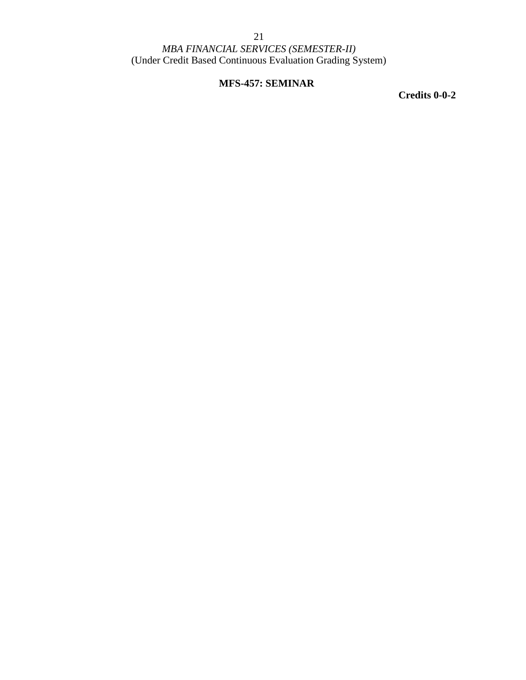### **MFS-457: SEMINAR**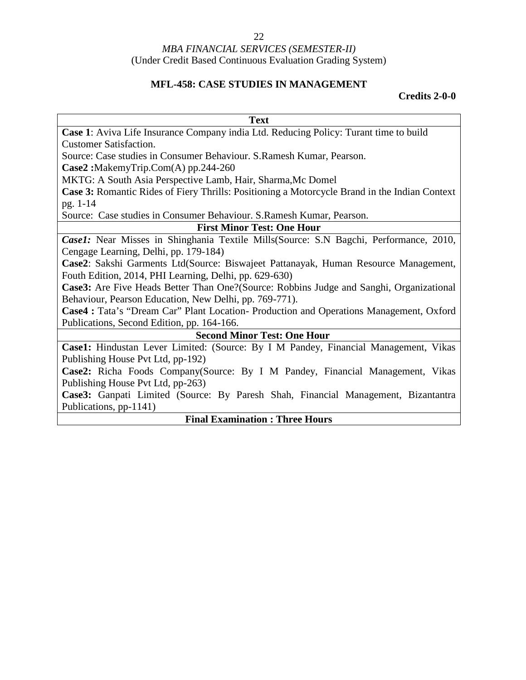### **MFL-458: CASE STUDIES IN MANAGEMENT**

| <b>Text</b>                                                                                   |  |  |
|-----------------------------------------------------------------------------------------------|--|--|
| Case 1: Aviva Life Insurance Company india Ltd. Reducing Policy: Turant time to build         |  |  |
| <b>Customer Satisfaction.</b>                                                                 |  |  |
| Source: Case studies in Consumer Behaviour. S. Ramesh Kumar, Pearson.                         |  |  |
| $Case2:$ MakemyTrip.Com(A) pp.244-260                                                         |  |  |
| MKTG: A South Asia Perspective Lamb, Hair, Sharma, Mc Domel                                   |  |  |
| Case 3: Romantic Rides of Fiery Thrills: Positioning a Motorcycle Brand in the Indian Context |  |  |
| pg. 1-14                                                                                      |  |  |
| Source: Case studies in Consumer Behaviour. S.Ramesh Kumar, Pearson.                          |  |  |
| <b>First Minor Test: One Hour</b>                                                             |  |  |
| Case1: Near Misses in Shinghania Textile Mills(Source: S.N Bagchi, Performance, 2010,         |  |  |
| Cengage Learning, Delhi, pp. 179-184)                                                         |  |  |
| Case2: Sakshi Garments Ltd(Source: Biswajeet Pattanayak, Human Resource Management,           |  |  |
| Fouth Edition, 2014, PHI Learning, Delhi, pp. 629-630)                                        |  |  |
| Case3: Are Five Heads Better Than One?(Source: Robbins Judge and Sanghi, Organizational       |  |  |
| Behaviour, Pearson Education, New Delhi, pp. 769-771).                                        |  |  |
| Case4 : Tata's "Dream Car" Plant Location- Production and Operations Management, Oxford       |  |  |
| Publications, Second Edition, pp. 164-166.                                                    |  |  |
| <b>Second Minor Test: One Hour</b>                                                            |  |  |
| Case1: Hindustan Lever Limited: (Source: By I M Pandey, Financial Management, Vikas           |  |  |
| Publishing House Pvt Ltd, pp-192)                                                             |  |  |
| Case2: Richa Foods Company(Source: By I M Pandey, Financial Management, Vikas                 |  |  |
| Publishing House Pvt Ltd, pp-263)                                                             |  |  |
| Case3: Ganpati Limited (Source: By Paresh Shah, Financial Management, Bizantantra             |  |  |
| Publications, pp-1141)                                                                        |  |  |
| <b>Final Examination: Three Hours</b>                                                         |  |  |
|                                                                                               |  |  |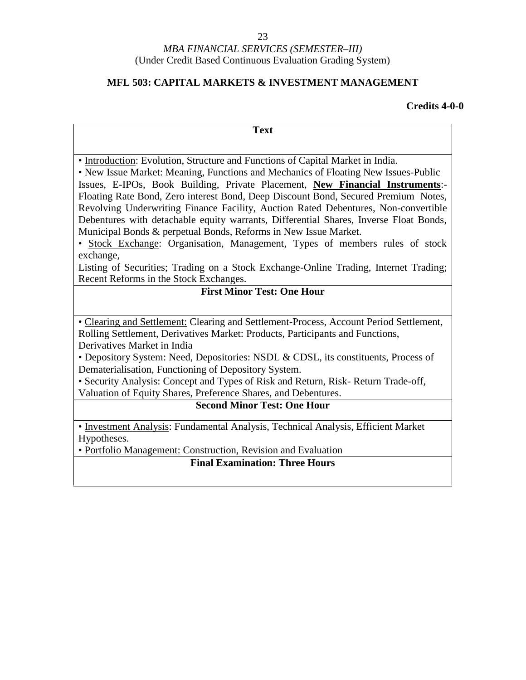### **MFL 503: CAPITAL MARKETS & INVESTMENT MANAGEMENT**

| <b>Text</b>                                                                                                                                                                                                                                                                                                                                                                                                                                                                                                                                                                                                                                                                               |  |  |  |  |
|-------------------------------------------------------------------------------------------------------------------------------------------------------------------------------------------------------------------------------------------------------------------------------------------------------------------------------------------------------------------------------------------------------------------------------------------------------------------------------------------------------------------------------------------------------------------------------------------------------------------------------------------------------------------------------------------|--|--|--|--|
|                                                                                                                                                                                                                                                                                                                                                                                                                                                                                                                                                                                                                                                                                           |  |  |  |  |
| • Introduction: Evolution, Structure and Functions of Capital Market in India.<br>• New Issue Market: Meaning, Functions and Mechanics of Floating New Issues-Public<br>Issues, E-IPOs, Book Building, Private Placement, New Financial Instruments:-<br>Floating Rate Bond, Zero interest Bond, Deep Discount Bond, Secured Premium Notes,<br>Revolving Underwriting Finance Facility, Auction Rated Debentures, Non-convertible<br>Debentures with detachable equity warrants, Differential Shares, Inverse Float Bonds,<br>Municipal Bonds & perpetual Bonds, Reforms in New Issue Market.<br>• Stock Exchange: Organisation, Management, Types of members rules of stock<br>exchange, |  |  |  |  |
| Listing of Securities; Trading on a Stock Exchange-Online Trading, Internet Trading;<br>Recent Reforms in the Stock Exchanges.                                                                                                                                                                                                                                                                                                                                                                                                                                                                                                                                                            |  |  |  |  |
| <b>First Minor Test: One Hour</b>                                                                                                                                                                                                                                                                                                                                                                                                                                                                                                                                                                                                                                                         |  |  |  |  |
| • Clearing and Settlement: Clearing and Settlement-Process, Account Period Settlement,<br>Rolling Settlement, Derivatives Market: Products, Participants and Functions,<br>Derivatives Market in India<br>• Depository System: Need, Depositories: NSDL & CDSL, its constituents, Process of<br>Dematerialisation, Functioning of Depository System.<br>• Security Analysis: Concept and Types of Risk and Return, Risk-Return Trade-off,<br>Valuation of Equity Shares, Preference Shares, and Debentures.<br><b>Second Minor Test: One Hour</b>                                                                                                                                         |  |  |  |  |
| • Investment Analysis: Fundamental Analysis, Technical Analysis, Efficient Market<br>Hypotheses.                                                                                                                                                                                                                                                                                                                                                                                                                                                                                                                                                                                          |  |  |  |  |
| • Portfolio Management: Construction, Revision and Evaluation                                                                                                                                                                                                                                                                                                                                                                                                                                                                                                                                                                                                                             |  |  |  |  |
| <b>Final Examination: Three Hours</b>                                                                                                                                                                                                                                                                                                                                                                                                                                                                                                                                                                                                                                                     |  |  |  |  |
|                                                                                                                                                                                                                                                                                                                                                                                                                                                                                                                                                                                                                                                                                           |  |  |  |  |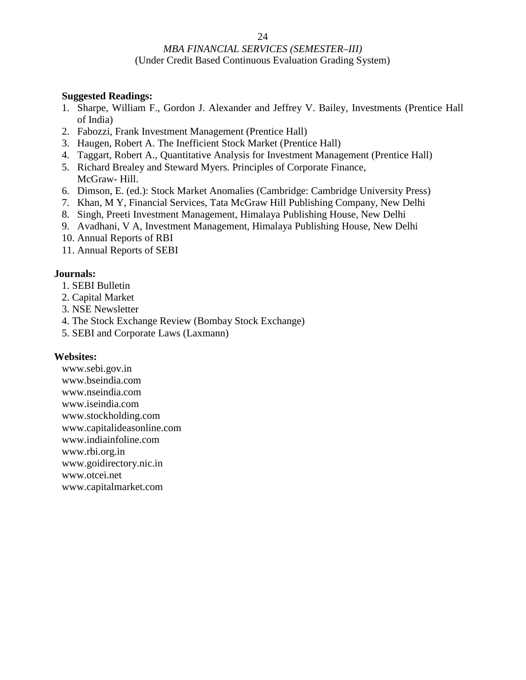#### **Suggested Readings:**

- 1. Sharpe, William F., Gordon J. Alexander and Jeffrey V. Bailey, Investments (Prentice Hall of India)
- 2. Fabozzi, Frank Investment Management (Prentice Hall)
- 3. Haugen, Robert A. The Inefficient Stock Market (Prentice Hall)
- 4. Taggart, Robert A., Quantitative Analysis for Investment Management (Prentice Hall)
- 5. Richard Brealey and Steward Myers. Principles of Corporate Finance, McGraw- Hill.
- 6. Dimson, E. (ed.): Stock Market Anomalies (Cambridge: Cambridge University Press)
- 7. Khan, M Y, Financial Services, Tata McGraw Hill Publishing Company, New Delhi
- 8. Singh, Preeti Investment Management, Himalaya Publishing House, New Delhi
- 9. Avadhani, V A, Investment Management, Himalaya Publishing House, New Delhi
- 10. Annual Reports of RBI
- 11. Annual Reports of SEBI

#### **Journals:**

- 1. SEBI Bulletin
- 2. Capital Market
- 3. NSE Newsletter
- 4. The Stock Exchange Review (Bombay Stock Exchange)
- 5. SEBI and Corporate Laws (Laxmann)

#### **Websites:**

www.sebi.gov.in www.bseindia.com www.nseindia.com www.iseindia.com www.stockholding.com www.capitalideasonline.com www.indiainfoline.com www.rbi.org.in www.goidirectory.nic.in www.otcei.net www.capitalmarket.com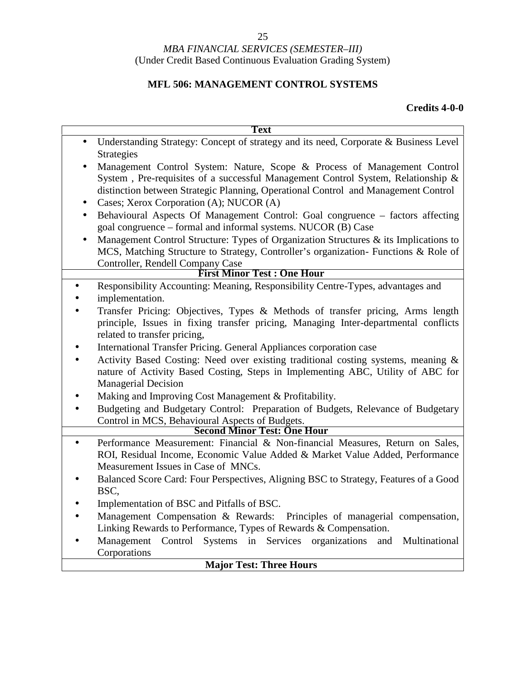# 25

#### *MBA FINANCIAL SERVICES (SEMESTER–III)* (Under Credit Based Continuous Evaluation Grading System)

### **MFL 506: MANAGEMENT CONTROL SYSTEMS**

| <b>Text</b>                                                                                                             |  |  |
|-------------------------------------------------------------------------------------------------------------------------|--|--|
| Understanding Strategy: Concept of strategy and its need, Corporate & Business Level<br>$\bullet$                       |  |  |
| <b>Strategies</b>                                                                                                       |  |  |
| Management Control System: Nature, Scope & Process of Management Control                                                |  |  |
| System, Pre-requisites of a successful Management Control System, Relationship &                                        |  |  |
| distinction between Strategic Planning, Operational Control and Management Control                                      |  |  |
| Cases; Xerox Corporation (A); NUCOR (A)<br>$\bullet$                                                                    |  |  |
| Behavioural Aspects Of Management Control: Goal congruence - factors affecting                                          |  |  |
| goal congruence – formal and informal systems. NUCOR (B) Case                                                           |  |  |
| Management Control Structure: Types of Organization Structures $\&$ its Implications to<br>$\bullet$                    |  |  |
| MCS, Matching Structure to Strategy, Controller's organization- Functions & Role of<br>Controller, Rendell Company Case |  |  |
| <b>First Minor Test: One Hour</b>                                                                                       |  |  |
| Responsibility Accounting: Meaning, Responsibility Centre-Types, advantages and<br>$\bullet$                            |  |  |
| implementation.                                                                                                         |  |  |
| Transfer Pricing: Objectives, Types & Methods of transfer pricing, Arms length                                          |  |  |
| principle, Issues in fixing transfer pricing, Managing Inter-departmental conflicts                                     |  |  |
| related to transfer pricing,                                                                                            |  |  |
| International Transfer Pricing. General Appliances corporation case                                                     |  |  |
| Activity Based Costing: Need over existing traditional costing systems, meaning &<br>$\bullet$                          |  |  |
| nature of Activity Based Costing, Steps in Implementing ABC, Utility of ABC for                                         |  |  |
| <b>Managerial Decision</b>                                                                                              |  |  |
| Making and Improving Cost Management & Profitability.                                                                   |  |  |
| Budgeting and Budgetary Control: Preparation of Budgets, Relevance of Budgetary<br>$\bullet$                            |  |  |
| Control in MCS, Behavioural Aspects of Budgets.                                                                         |  |  |
| <b>Second Minor Test: One Hour</b>                                                                                      |  |  |
| Performance Measurement: Financial & Non-financial Measures, Return on Sales,<br>$\bullet$                              |  |  |
| ROI, Residual Income, Economic Value Added & Market Value Added, Performance                                            |  |  |
| Measurement Issues in Case of MNCs.                                                                                     |  |  |
| Balanced Score Card: Four Perspectives, Aligning BSC to Strategy, Features of a Good                                    |  |  |
| BSC,                                                                                                                    |  |  |
| Implementation of BSC and Pitfalls of BSC.                                                                              |  |  |
| Management Compensation & Rewards: Principles of managerial compensation,                                               |  |  |
| Linking Rewards to Performance, Types of Rewards & Compensation.                                                        |  |  |
| Management Control Systems in Services organizations and Multinational<br>$\bullet$<br>Corporations                     |  |  |
| <b>Major Test: Three Hours</b>                                                                                          |  |  |
|                                                                                                                         |  |  |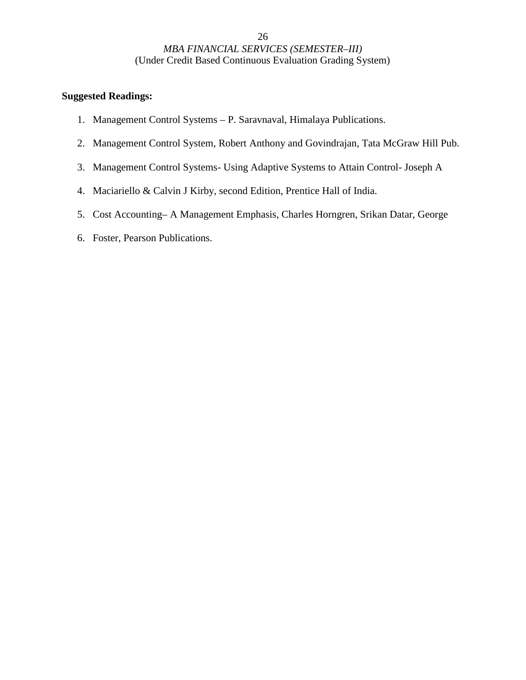- 1. Management Control Systems P. Saravnaval, Himalaya Publications.
- 2. Management Control System, Robert Anthony and Govindrajan, Tata McGraw Hill Pub.
- 3. Management Control Systems- Using Adaptive Systems to Attain Control- Joseph A
- 4. Maciariello & Calvin J Kirby, second Edition, Prentice Hall of India.
- 5. Cost Accounting– A Management Emphasis, Charles Horngren, Srikan Datar, George
- 6. Foster, Pearson Publications.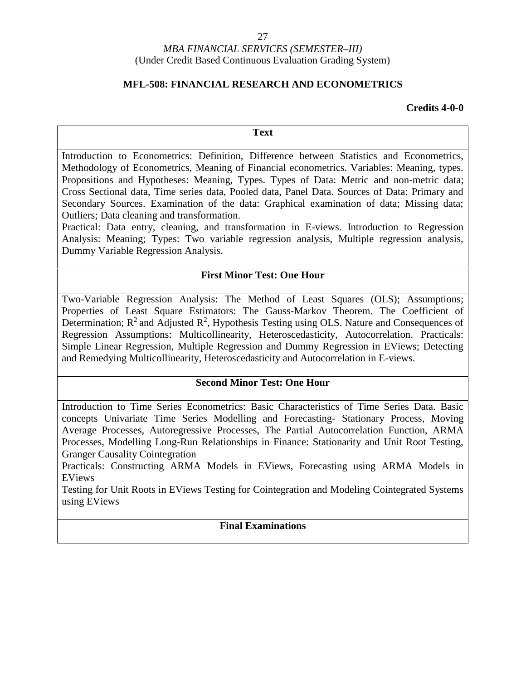#### 27

#### *MBA FINANCIAL SERVICES (SEMESTER–III)* (Under Credit Based Continuous Evaluation Grading System)

#### **MFL-508: FINANCIAL RESEARCH AND ECONOMETRICS**

#### **Credits 4-0-0**

#### **Text**

Introduction to Econometrics: Definition, Difference between Statistics and Econometrics, Methodology of Econometrics, Meaning of Financial econometrics. Variables: Meaning, types. Propositions and Hypotheses: Meaning, Types. Types of Data: Metric and non-metric data; Cross Sectional data, Time series data, Pooled data, Panel Data. Sources of Data: Primary and Secondary Sources. Examination of the data: Graphical examination of data; Missing data; Outliers; Data cleaning and transformation.

Practical: Data entry, cleaning, and transformation in E-views. Introduction to Regression Analysis: Meaning; Types: Two variable regression analysis, Multiple regression analysis, Dummy Variable Regression Analysis.

#### **First Minor Test: One Hour**

Two-Variable Regression Analysis: The Method of Least Squares (OLS); Assumptions; Properties of Least Square Estimators: The Gauss-Markov Theorem. The Coefficient of Determination;  $R^2$  and Adjusted  $R^2$ , Hypothesis Testing using OLS. Nature and Consequences of  $|$ Regression Assumptions: Multicollinearity, Heteroscedasticity, Autocorrelation. Practicals: Simple Linear Regression, Multiple Regression and Dummy Regression in EViews; Detecting and Remedying Multicollinearity, Heteroscedasticity and Autocorrelation in E-views.

#### **Second Minor Test: One Hour**

Introduction to Time Series Econometrics: Basic Characteristics of Time Series Data. Basic concepts Univariate Time Series Modelling and Forecasting- Stationary Process, Moving Average Processes, Autoregressive Processes, The Partial Autocorrelation Function, ARMA Processes, Modelling Long-Run Relationships in Finance: Stationarity and Unit Root Testing, Granger Causality Cointegration

Practicals: Constructing ARMA Models in EViews, Forecasting using ARMA Models in EViews

Testing for Unit Roots in EViews Testing for Cointegration and Modeling Cointegrated Systems using EViews

#### **Final Examinations**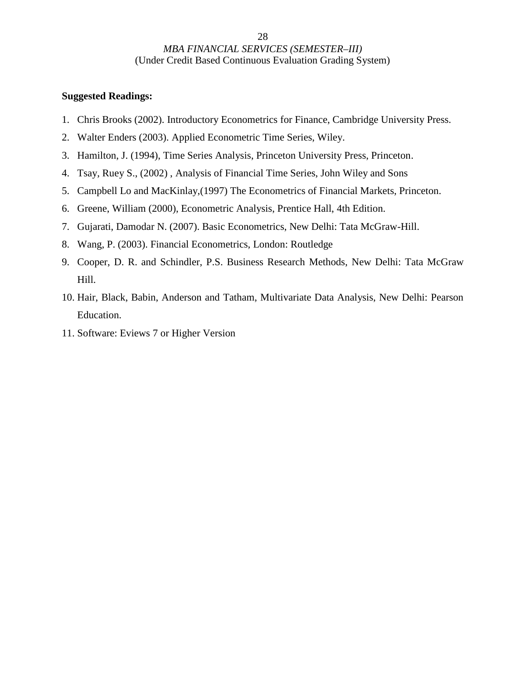- 1. Chris Brooks (2002). Introductory Econometrics for Finance, Cambridge University Press.
- 2. Walter Enders (2003). Applied Econometric Time Series, Wiley.
- 3. Hamilton, J. (1994), Time Series Analysis, Princeton University Press, Princeton.
- 4. Tsay, Ruey S., (2002) , Analysis of Financial Time Series, John Wiley and Sons
- 5. Campbell Lo and MacKinlay,(1997) The Econometrics of Financial Markets, Princeton.
- 6. Greene, William (2000), Econometric Analysis, Prentice Hall, 4th Edition.
- 7. Gujarati, Damodar N. (2007). Basic Econometrics, New Delhi: Tata McGraw-Hill.
- 8. Wang, P. (2003). Financial Econometrics, London: Routledge
- 9. Cooper, D. R. and Schindler, P.S. Business Research Methods, New Delhi: Tata McGraw Hill.
- 10. Hair, Black, Babin, Anderson and Tatham, Multivariate Data Analysis, New Delhi: Pearson Education.
- 11. Software: Eviews 7 or Higher Version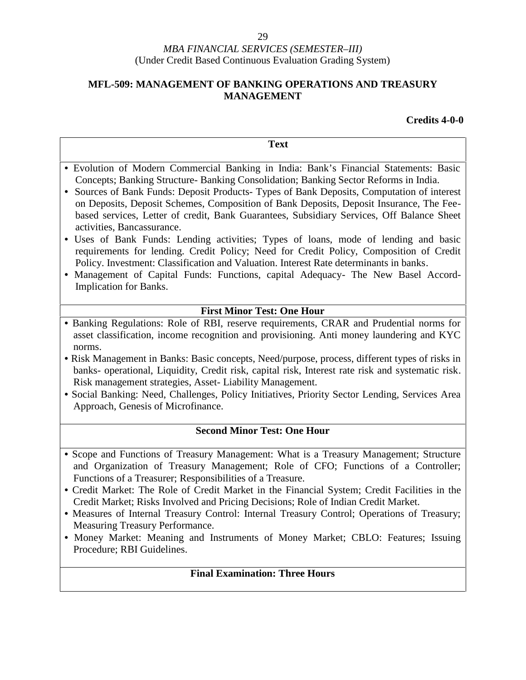### **MFL-509: MANAGEMENT OF BANKING OPERATIONS AND TREASURY MANAGEMENT**

| <b>Text</b>                                                                                                                                                                                                                                                                                                                                                                                                                                                                                                                                                                                                                                                                                                                                                                                                                                                                                            |  |
|--------------------------------------------------------------------------------------------------------------------------------------------------------------------------------------------------------------------------------------------------------------------------------------------------------------------------------------------------------------------------------------------------------------------------------------------------------------------------------------------------------------------------------------------------------------------------------------------------------------------------------------------------------------------------------------------------------------------------------------------------------------------------------------------------------------------------------------------------------------------------------------------------------|--|
| · Evolution of Modern Commercial Banking in India: Bank's Financial Statements: Basic<br>Concepts; Banking Structure- Banking Consolidation; Banking Sector Reforms in India.<br>Sources of Bank Funds: Deposit Products- Types of Bank Deposits, Computation of interest<br>$\bullet$<br>on Deposits, Deposit Schemes, Composition of Bank Deposits, Deposit Insurance, The Fee-<br>based services, Letter of credit, Bank Guarantees, Subsidiary Services, Off Balance Sheet<br>activities, Bancassurance.<br>• Uses of Bank Funds: Lending activities; Types of loans, mode of lending and basic<br>requirements for lending. Credit Policy; Need for Credit Policy, Composition of Credit<br>Policy. Investment: Classification and Valuation. Interest Rate determinants in banks.<br>• Management of Capital Funds: Functions, capital Adequacy- The New Basel Accord-<br>Implication for Banks. |  |
| <b>First Minor Test: One Hour</b>                                                                                                                                                                                                                                                                                                                                                                                                                                                                                                                                                                                                                                                                                                                                                                                                                                                                      |  |
| • Banking Regulations: Role of RBI, reserve requirements, CRAR and Prudential norms for<br>asset classification, income recognition and provisioning. Anti money laundering and KYC<br>norms.<br>• Risk Management in Banks: Basic concepts, Need/purpose, process, different types of risks in<br>banks- operational, Liquidity, Credit risk, capital risk, Interest rate risk and systematic risk.<br>Risk management strategies, Asset-Liability Management.<br>• Social Banking: Need, Challenges, Policy Initiatives, Priority Sector Lending, Services Area<br>Approach, Genesis of Microfinance.                                                                                                                                                                                                                                                                                                |  |
| <b>Second Minor Test: One Hour</b>                                                                                                                                                                                                                                                                                                                                                                                                                                                                                                                                                                                                                                                                                                                                                                                                                                                                     |  |
| • Scope and Functions of Treasury Management: What is a Treasury Management; Structure<br>and Organization of Treasury Management; Role of CFO; Functions of a Controller;<br>Functions of a Treasurer; Responsibilities of a Treasure.<br>• Credit Market: The Role of Credit Market in the Financial System; Credit Facilities in the<br>Credit Market; Risks Involved and Pricing Decisions; Role of Indian Credit Market.<br>• Measures of Internal Treasury Control: Internal Treasury Control; Operations of Treasury;<br>Measuring Treasury Performance.<br>• Money Market: Meaning and Instruments of Money Market; CBLO: Features; Issuing<br>Procedure; RBI Guidelines.                                                                                                                                                                                                                      |  |
| <b>Final Examination: Three Hours</b>                                                                                                                                                                                                                                                                                                                                                                                                                                                                                                                                                                                                                                                                                                                                                                                                                                                                  |  |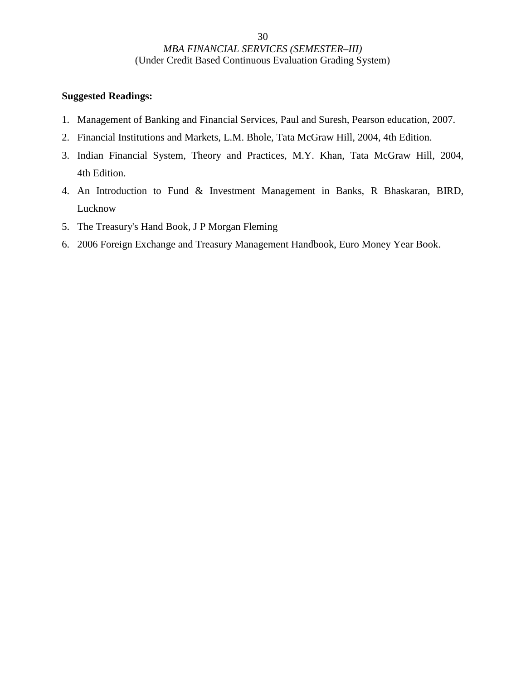- 1. Management of Banking and Financial Services, Paul and Suresh, Pearson education, 2007.
- 2. Financial Institutions and Markets, L.M. Bhole, Tata McGraw Hill, 2004, 4th Edition.
- 3. Indian Financial System, Theory and Practices, M.Y. Khan, Tata McGraw Hill, 2004, 4th Edition.
- 4. An Introduction to Fund & Investment Management in Banks, R Bhaskaran, BIRD, Lucknow
- 5. The Treasury's Hand Book, J P Morgan Fleming
- 6. 2006 Foreign Exchange and Treasury Management Handbook, Euro Money Year Book.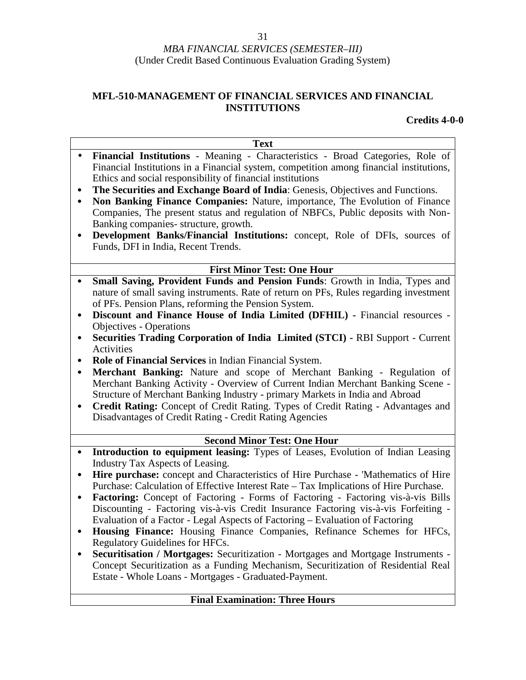### **MFL-510-MANAGEMENT OF FINANCIAL SERVICES AND FINANCIAL INSTITUTIONS**

| <b>Text</b>                                                                                                                                                                  |
|------------------------------------------------------------------------------------------------------------------------------------------------------------------------------|
| Financial Institutions - Meaning - Characteristics - Broad Categories, Role of<br>$\bullet$                                                                                  |
| Financial Institutions in a Financial system, competition among financial institutions,<br>Ethics and social responsibility of financial institutions                        |
| The Securities and Exchange Board of India: Genesis, Objectives and Functions.                                                                                               |
| $\bullet$<br>Non Banking Finance Companies: Nature, importance, The Evolution of Finance<br>٠                                                                                |
| Companies, The present status and regulation of NBFCs, Public deposits with Non-                                                                                             |
| Banking companies- structure, growth.                                                                                                                                        |
| Development Banks/Financial Institutions: concept, Role of DFIs, sources of<br>٠<br>Funds, DFI in India, Recent Trends.                                                      |
| <b>First Minor Test: One Hour</b>                                                                                                                                            |
| Small Saving, Provident Funds and Pension Funds: Growth in India, Types and<br>$\bullet$                                                                                     |
| nature of small saving instruments. Rate of return on PFs, Rules regarding investment                                                                                        |
| of PFs. Pension Plans, reforming the Pension System.                                                                                                                         |
| Discount and Finance House of India Limited (DFHIL) - Financial resources -<br>$\bullet$                                                                                     |
| <b>Objectives - Operations</b>                                                                                                                                               |
| Securities Trading Corporation of India Limited (STCI) - RBI Support - Current<br>٠                                                                                          |
| Activities                                                                                                                                                                   |
| Role of Financial Services in Indian Financial System.<br>$\bullet$                                                                                                          |
| Merchant Banking: Nature and scope of Merchant Banking - Regulation of<br>$\bullet$                                                                                          |
| Merchant Banking Activity - Overview of Current Indian Merchant Banking Scene -<br>Structure of Merchant Banking Industry - primary Markets in India and Abroad              |
| Credit Rating: Concept of Credit Rating. Types of Credit Rating - Advantages and<br>٠                                                                                        |
| Disadvantages of Credit Rating - Credit Rating Agencies                                                                                                                      |
|                                                                                                                                                                              |
| <b>Second Minor Test: One Hour</b>                                                                                                                                           |
| Introduction to equipment leasing: Types of Leases, Evolution of Indian Leasing<br>$\bullet$                                                                                 |
| Industry Tax Aspects of Leasing.                                                                                                                                             |
| Hire purchase: concept and Characteristics of Hire Purchase - 'Mathematics of Hire<br>٠                                                                                      |
| Purchase: Calculation of Effective Interest Rate – Tax Implications of Hire Purchase.                                                                                        |
| Factoring: Concept of Factoring - Forms of Factoring - Factoring vis-à-vis Bills<br>٠<br>Discounting - Factoring vis-à-vis Credit Insurance Factoring vis-à-vis Forfeiting - |
| Evaluation of a Factor - Legal Aspects of Factoring - Evaluation of Factoring                                                                                                |
| Housing Finance: Housing Finance Companies, Refinance Schemes for HFCs,<br>$\bullet$                                                                                         |
| Regulatory Guidelines for HFCs.                                                                                                                                              |
| Securitisation / Mortgages: Securitization - Mortgages and Mortgage Instruments -                                                                                            |
| Concept Securitization as a Funding Mechanism, Securitization of Residential Real                                                                                            |
| Estate - Whole Loans - Mortgages - Graduated-Payment.                                                                                                                        |
|                                                                                                                                                                              |
| <b>Final Examination: Three Hours</b>                                                                                                                                        |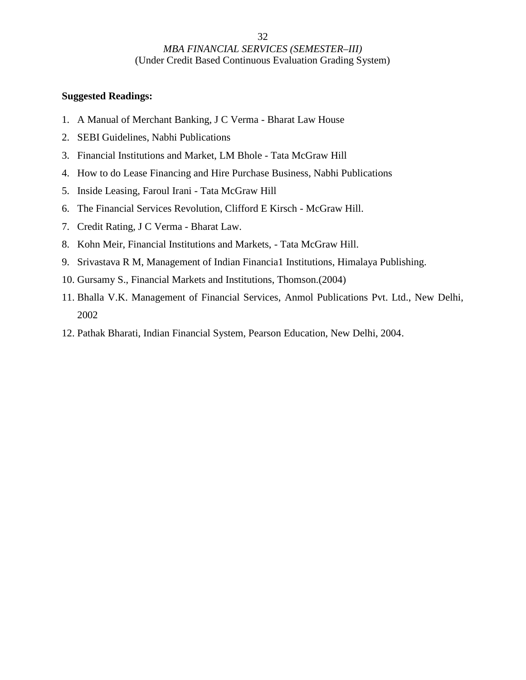- 1. A Manual of Merchant Banking, J C Verma Bharat Law House
- 2. SEBI Guidelines, Nabhi Publications
- 3. Financial Institutions and Market, LM Bhole Tata McGraw Hill
- 4. How to do Lease Financing and Hire Purchase Business, Nabhi Publications
- 5. Inside Leasing, Faroul Irani Tata McGraw Hill
- 6. The Financial Services Revolution, Clifford E Kirsch McGraw Hill.
- 7. Credit Rating, J C Verma Bharat Law.
- 8. Kohn Meir, Financial Institutions and Markets, Tata McGraw Hill.
- 9. Srivastava R M, Management of Indian Financia1 Institutions, Himalaya Publishing.
- 10. Gursamy S., Financial Markets and Institutions, Thomson.(2004)
- 11. Bhalla V.K. Management of Financial Services, Anmol Publications Pvt. Ltd., New Delhi, 2002
- 12. Pathak Bharati, Indian Financial System, Pearson Education, New Delhi, 2004.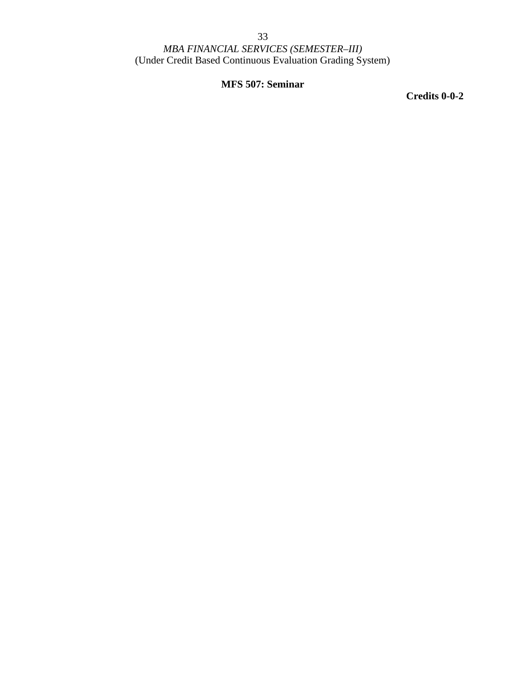### **MFS 507: Seminar**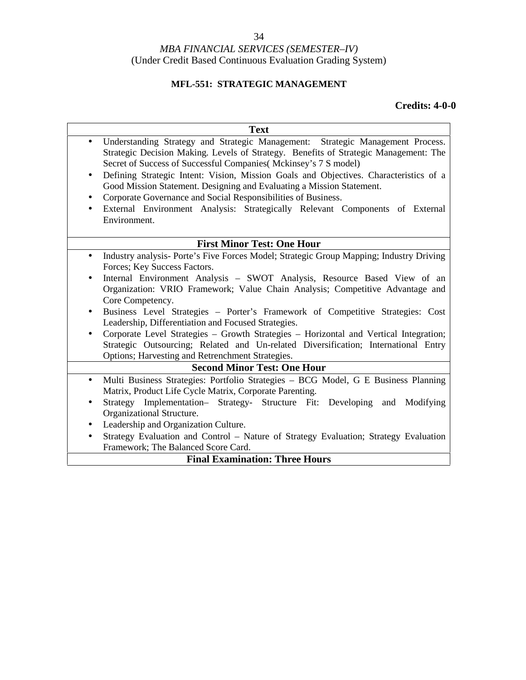#### 34

#### *MBA FINANCIAL SERVICES (SEMESTER–IV)* (Under Credit Based Continuous Evaluation Grading System)

### **MFL-551: STRATEGIC MANAGEMENT**

| Text                                                                                                                                                                                                                                                                                                                                                                                                                                                                                                                                                                                                                                                                                                          |
|---------------------------------------------------------------------------------------------------------------------------------------------------------------------------------------------------------------------------------------------------------------------------------------------------------------------------------------------------------------------------------------------------------------------------------------------------------------------------------------------------------------------------------------------------------------------------------------------------------------------------------------------------------------------------------------------------------------|
| Understanding Strategy and Strategic Management: Strategic Management Process.<br>$\bullet$<br>Strategic Decision Making. Levels of Strategy. Benefits of Strategic Management: The<br>Secret of Success of Successful Companies (Mckinsey's 7 S model)                                                                                                                                                                                                                                                                                                                                                                                                                                                       |
| Defining Strategic Intent: Vision, Mission Goals and Objectives. Characteristics of a<br>٠<br>Good Mission Statement. Designing and Evaluating a Mission Statement.<br>Corporate Governance and Social Responsibilities of Business.<br>$\bullet$<br>External Environment Analysis: Strategically Relevant Components of External<br>$\bullet$<br>Environment.                                                                                                                                                                                                                                                                                                                                                |
| <b>First Minor Test: One Hour</b>                                                                                                                                                                                                                                                                                                                                                                                                                                                                                                                                                                                                                                                                             |
| Industry analysis-Porte's Five Forces Model; Strategic Group Mapping; Industry Driving<br>$\bullet$<br>Forces; Key Success Factors.<br>Internal Environment Analysis - SWOT Analysis, Resource Based View of an<br>$\bullet$<br>Organization: VRIO Framework; Value Chain Analysis; Competitive Advantage and<br>Core Competency.<br>Business Level Strategies - Porter's Framework of Competitive Strategies: Cost<br>Leadership, Differentiation and Focused Strategies.<br>Corporate Level Strategies - Growth Strategies - Horizontal and Vertical Integration;<br>Strategic Outsourcing; Related and Un-related Diversification; International Entry<br>Options; Harvesting and Retrenchment Strategies. |
| <b>Second Minor Test: One Hour</b>                                                                                                                                                                                                                                                                                                                                                                                                                                                                                                                                                                                                                                                                            |
| Multi Business Strategies: Portfolio Strategies - BCG Model, G E Business Planning<br>$\bullet$<br>Matrix, Product Life Cycle Matrix, Corporate Parenting.<br>Strategy Implementation- Strategy- Structure Fit: Developing and Modifying<br>$\bullet$<br>Organizational Structure.                                                                                                                                                                                                                                                                                                                                                                                                                            |
| Leadership and Organization Culture.<br>٠                                                                                                                                                                                                                                                                                                                                                                                                                                                                                                                                                                                                                                                                     |
| Strategy Evaluation and Control - Nature of Strategy Evaluation; Strategy Evaluation<br>$\bullet$<br>Framework; The Balanced Score Card.                                                                                                                                                                                                                                                                                                                                                                                                                                                                                                                                                                      |
| <b>Final Examination: Three Hours</b>                                                                                                                                                                                                                                                                                                                                                                                                                                                                                                                                                                                                                                                                         |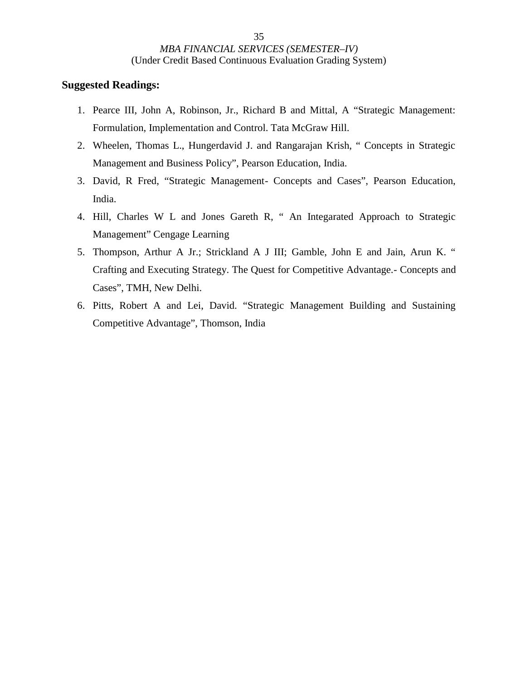- 1. Pearce III, John A, Robinson, Jr., Richard B and Mittal, A "Strategic Management: Formulation, Implementation and Control. Tata McGraw Hill.
- 2. Wheelen, Thomas L., Hungerdavid J. and Rangarajan Krish, " Concepts in Strategic Management and Business Policy", Pearson Education, India.
- 3. David, R Fred, "Strategic Management- Concepts and Cases", Pearson Education, India.
- 4. Hill, Charles W L and Jones Gareth R, " An Integarated Approach to Strategic Management" Cengage Learning
- 5. Thompson, Arthur A Jr.; Strickland A J III; Gamble, John E and Jain, Arun K. " Crafting and Executing Strategy. The Quest for Competitive Advantage.- Concepts and Cases", TMH, New Delhi.
- 6. Pitts, Robert A and Lei, David. "Strategic Management Building and Sustaining Competitive Advantage", Thomson, India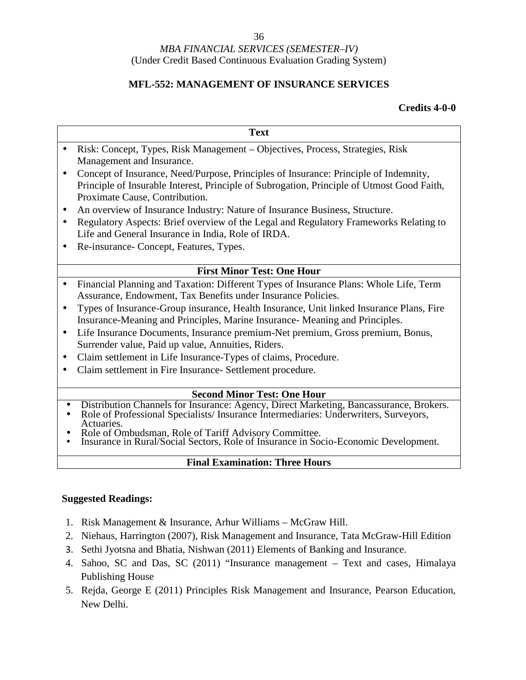### **MFL-552: MANAGEMENT OF INSURANCE SERVICES**

**Text**

#### **Credits 4-0-0**

- Risk: Concept, Types, Risk Management Objectives, Process, Strategies, Risk Management and Insurance.
- Concept of Insurance, Need/Purpose, Principles of Insurance: Principle of Indemnity, Principle of Insurable Interest, Principle of Subrogation, Principle of Utmost Good Faith, Proximate Cause, Contribution.
- An overview of Insurance Industry: Nature of Insurance Business, Structure.
- Regulatory Aspects: Brief overview of the Legal and Regulatory Frameworks Relating to Life and General Insurance in India, Role of IRDA.
- Re-insurance- Concept, Features, Types.

### **First Minor Test: One Hour**

- Financial Planning and Taxation: Different Types of Insurance Plans: Whole Life, Term Assurance, Endowment, Tax Benefits under Insurance Policies.
- Types of Insurance-Group insurance, Health Insurance, Unit linked Insurance Plans, Fire Insurance-Meaning and Principles, Marine Insurance- Meaning and Principles.
- Life Insurance Documents, Insurance premium-Net premium, Gross premium, Bonus, Surrender value, Paid up value, Annuities, Riders.
- Claim settlement in Life Insurance-Types of claims, Procedure.
- Claim settlement in Fire Insurance- Settlement procedure.

- 
- Second Minor Test: One Hour<br>
Distribution Channels for Insurance: Agency, Direct Marketing, Bancassurance, Brokers.<br>
Role of Professional Specialists/ Insurance Intermediaries: Underwriters, Surveyors,<br>
Role of Ombud
- 
- 

#### **Final Examination: Three Hours**

- 1. Risk Management & Insurance, Arhur Williams McGraw Hill.
- 2. Niehaus, Harrington (2007), Risk Management and Insurance, Tata McGraw-Hill Edition
- 3. Sethi Jyotsna and Bhatia, Nishwan (2011) Elements of Banking and Insurance.
- 4. Sahoo, SC and Das, SC (2011) "Insurance management Text and cases, Himalaya Publishing House
- 5. Rejda, George E (2011) Principles Risk Management and Insurance, Pearson Education, New Delhi.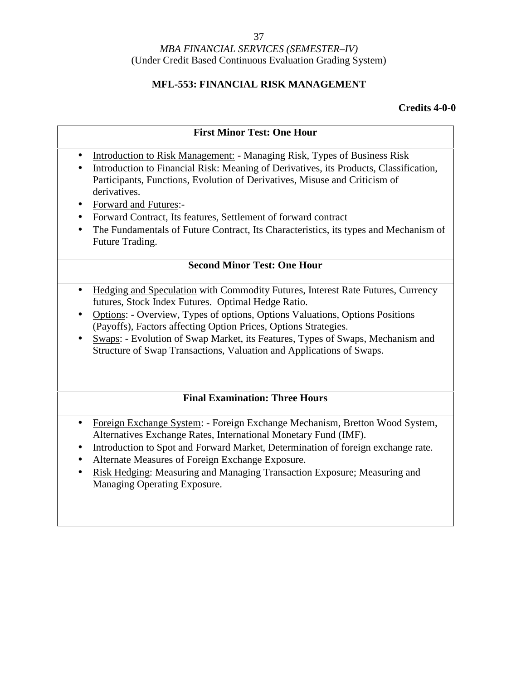#### 37

#### *MBA FINANCIAL SERVICES (SEMESTER–IV)* (Under Credit Based Continuous Evaluation Grading System)

### **MFL-553: FINANCIAL RISK MANAGEMENT**

|                                                  | <b>First Minor Test: One Hour</b>                                                                                                                                                                                                                                                                                                                                                                                                                                     |  |  |
|--------------------------------------------------|-----------------------------------------------------------------------------------------------------------------------------------------------------------------------------------------------------------------------------------------------------------------------------------------------------------------------------------------------------------------------------------------------------------------------------------------------------------------------|--|--|
| $\bullet$<br>$\bullet$<br>$\bullet$<br>$\bullet$ | Introduction to Risk Management: - Managing Risk, Types of Business Risk<br>Introduction to Financial Risk: Meaning of Derivatives, its Products, Classification,<br>Participants, Functions, Evolution of Derivatives, Misuse and Criticism of<br>derivatives.<br>Forward and Futures:-<br>Forward Contract, Its features, Settlement of forward contract<br>The Fundamentals of Future Contract, Its Characteristics, its types and Mechanism of<br>Future Trading. |  |  |
| <b>Second Minor Test: One Hour</b>               |                                                                                                                                                                                                                                                                                                                                                                                                                                                                       |  |  |
| $\bullet$<br>$\bullet$<br>$\bullet$              | Hedging and Speculation with Commodity Futures, Interest Rate Futures, Currency<br>futures, Stock Index Futures. Optimal Hedge Ratio.<br>Options: - Overview, Types of options, Options Valuations, Options Positions<br>(Payoffs), Factors affecting Option Prices, Options Strategies.<br>Swaps: - Evolution of Swap Market, its Features, Types of Swaps, Mechanism and<br>Structure of Swap Transactions, Valuation and Applications of Swaps.                    |  |  |
| <b>Final Examination: Three Hours</b>            |                                                                                                                                                                                                                                                                                                                                                                                                                                                                       |  |  |
| $\bullet$<br>$\bullet$<br>$\bullet$<br>$\bullet$ | Foreign Exchange System: - Foreign Exchange Mechanism, Bretton Wood System,<br>Alternatives Exchange Rates, International Monetary Fund (IMF).<br>Introduction to Spot and Forward Market, Determination of foreign exchange rate.<br>Alternate Measures of Foreign Exchange Exposure.<br>Risk Hedging: Measuring and Managing Transaction Exposure; Measuring and<br>Managing Operating Exposure.                                                                    |  |  |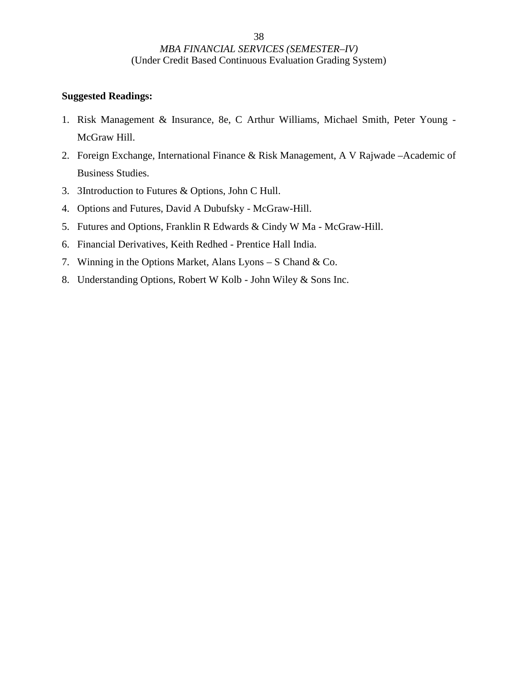- 1. Risk Management & Insurance, 8e, C Arthur Williams, Michael Smith, Peter Young McGraw Hill.
- 2. Foreign Exchange, International Finance & Risk Management, A V Rajwade –Academic of Business Studies.
- 3. 3Introduction to Futures & Options, John C Hull.
- 4. Options and Futures, David A Dubufsky McGraw-Hill.
- 5. Futures and Options, Franklin R Edwards & Cindy W Ma McGraw-Hill.
- 6. Financial Derivatives, Keith Redhed Prentice Hall India.
- 7. Winning in the Options Market, Alans Lyons S Chand & Co.
- 8. Understanding Options, Robert W Kolb John Wiley & Sons Inc.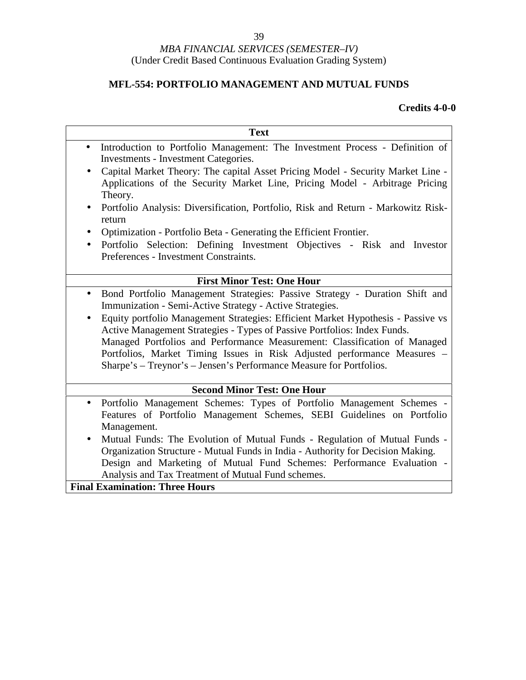### **MFL-554: PORTFOLIO MANAGEMENT AND MUTUAL FUNDS**

| <b>Text</b>                                                                                                                                                                                                                               |  |  |  |  |
|-------------------------------------------------------------------------------------------------------------------------------------------------------------------------------------------------------------------------------------------|--|--|--|--|
| Introduction to Portfolio Management: The Investment Process - Definition of<br>$\bullet$<br><b>Investments - Investment Categories.</b>                                                                                                  |  |  |  |  |
| Capital Market Theory: The capital Asset Pricing Model - Security Market Line -<br>$\bullet$<br>Applications of the Security Market Line, Pricing Model - Arbitrage Pricing<br>Theory.                                                    |  |  |  |  |
| Portfolio Analysis: Diversification, Portfolio, Risk and Return - Markowitz Risk-<br>return                                                                                                                                               |  |  |  |  |
| Optimization - Portfolio Beta - Generating the Efficient Frontier.<br>٠                                                                                                                                                                   |  |  |  |  |
| Portfolio Selection: Defining Investment Objectives - Risk and Investor<br>$\bullet$<br>Preferences - Investment Constraints.                                                                                                             |  |  |  |  |
| <b>First Minor Test: One Hour</b>                                                                                                                                                                                                         |  |  |  |  |
| Bond Portfolio Management Strategies: Passive Strategy - Duration Shift and<br>$\bullet$<br>Immunization - Semi-Active Strategy - Active Strategies.                                                                                      |  |  |  |  |
| Equity portfolio Management Strategies: Efficient Market Hypothesis - Passive vs<br>Active Management Strategies - Types of Passive Portfolios: Index Funds.<br>Managed Portfolios and Performance Measurement: Classification of Managed |  |  |  |  |
| Portfolios, Market Timing Issues in Risk Adjusted performance Measures -<br>Sharpe's – Treynor's – Jensen's Performance Measure for Portfolios.                                                                                           |  |  |  |  |
| <b>Second Minor Test: One Hour</b>                                                                                                                                                                                                        |  |  |  |  |
| Portfolio Management Schemes: Types of Portfolio Management Schemes -<br>Features of Portfolio Management Schemes, SEBI Guidelines on Portfolio                                                                                           |  |  |  |  |
| Management.                                                                                                                                                                                                                               |  |  |  |  |
| Mutual Funds: The Evolution of Mutual Funds - Regulation of Mutual Funds -<br>$\bullet$<br>Organization Structure - Mutual Funds in India - Authority for Decision Making.                                                                |  |  |  |  |
| Design and Marketing of Mutual Fund Schemes: Performance Evaluation -                                                                                                                                                                     |  |  |  |  |
| Analysis and Tax Treatment of Mutual Fund schemes.                                                                                                                                                                                        |  |  |  |  |
| <b>Final Examination: Three Hours</b>                                                                                                                                                                                                     |  |  |  |  |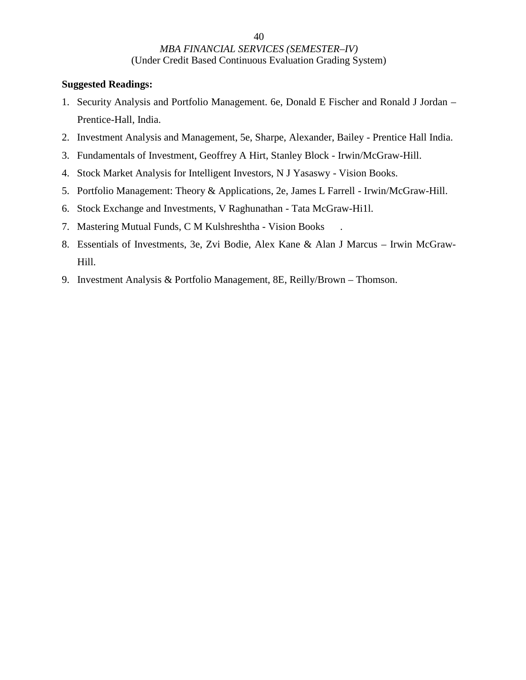- 1. Security Analysis and Portfolio Management. 6e, Donald E Fischer and Ronald J Jordan Prentice-Hall, India.
- 2. Investment Analysis and Management, 5e, Sharpe, Alexander, Bailey Prentice Hall India.
- 3. Fundamentals of Investment, Geoffrey A Hirt, Stanley Block Irwin/McGraw-Hill.
- 4. Stock Market Analysis for Intelligent Investors, N J Yasaswy Vision Books.
- 5. Portfolio Management: Theory & Applications, 2e, James L Farrell Irwin/McGraw-Hill.
- 6. Stock Exchange and Investments, V Raghunathan Tata McGraw-Hi1l.
- 7. Mastering Mutual Funds, C M Kulshreshtha Vision Books .
- 8. Essentials of Investments, 3e, Zvi Bodie, Alex Kane & Alan J Marcus Irwin McGraw- Hill.
- 9. Investment Analysis & Portfolio Management, 8E, Reilly/Brown Thomson.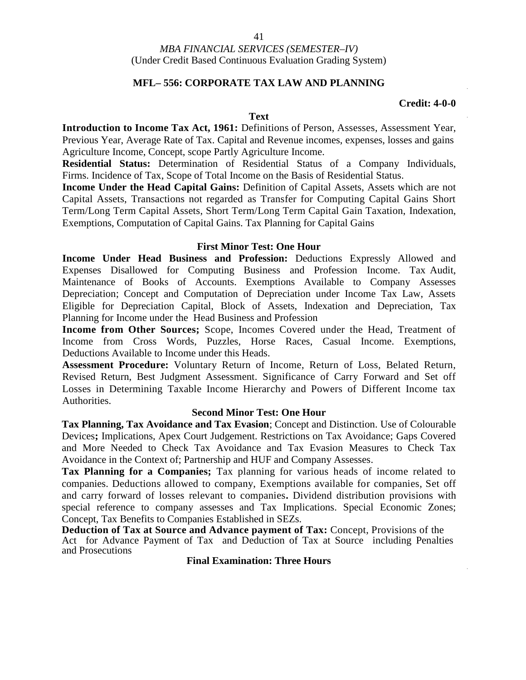#### **MFL– 556: CORPORATE TAX LAW AND PLANNING**

#### **Credit: 4-0-0**

#### **Text**

**Introduction to Income Tax Act, 1961:** Definitions of Person, Assesses, Assessment Year, Previous Year, Average Rate of Tax. Capital and Revenue incomes, expenses, losses and gains Agriculture Income, Concept, scope Partly Agriculture Income.

**Residential Status:** Determination of Residential Status of a Company Individuals, Firms. Incidence of Tax, Scope of Total Income on the Basis of Residential Status.

**Income Under the Head Capital Gains:** Definition of Capital Assets, Assets which are not Capital Assets, Transactions not regarded as Transfer for Computing Capital Gains Short Term/Long Term Capital Assets, Short Term/Long Term Capital Gain Taxation, Indexation, Exemptions, Computation of Capital Gains. Tax Planning for Capital Gains

#### **First Minor Test: One Hour**

**Income Under Head Business and Profession:** Deductions Expressly Allowed and Expenses Disallowed for Computing Business and Profession Income. Tax Audit, Maintenance of Books of Accounts. Exemptions Available to Company Assesses Depreciation; Concept and Computation of Depreciation under Income Tax Law, Assets Eligible for Depreciation Capital, Block of Assets, Indexation and Depreciation, Tax Planning for Income under the Head Business and Profession

**Income from Other Sources;** Scope, Incomes Covered under the Head, Treatment of Income from Cross Words, Puzzles, Horse Races, Casual Income. Exemptions, Deductions Available to Income under this Heads.

**Assessment Procedure:** Voluntary Return of Income, Return of Loss, Belated Return, Revised Return, Best Judgment Assessment. Significance of Carry Forward and Set off Losses in Determining Taxable Income Hierarchy and Powers of Different Income tax Authorities.

#### **Second Minor Test: One Hour**

**Tax Planning, Tax Avoidance and Tax Evasion**; Concept and Distinction. Use of Colourable Devices**;** Implications, Apex Court Judgement. Restrictions on Tax Avoidance; Gaps Covered and More Needed to Check Tax Avoidance and Tax Evasion Measures to Check Tax Avoidance in the Context of; Partnership and HUF and Company Assesses.

**Tax Planning for a Companies;** Tax planning for various heads of income related to companies. Deductions allowed to company, Exemptions available for companies, Set off and carry forward of losses relevant to companies**.** Dividend distribution provisions with special reference to company assesses and Tax Implications. Special Economic Zones; Concept, Tax Benefits to Companies Established in SEZs.

**Deduction of Tax at Source and Advance payment of Tax:** Concept, Provisions of the Act for Advance Payment of Tax and Deduction of Tax at Source including Penalties and Prosecutions

**Final Examination: Three Hours**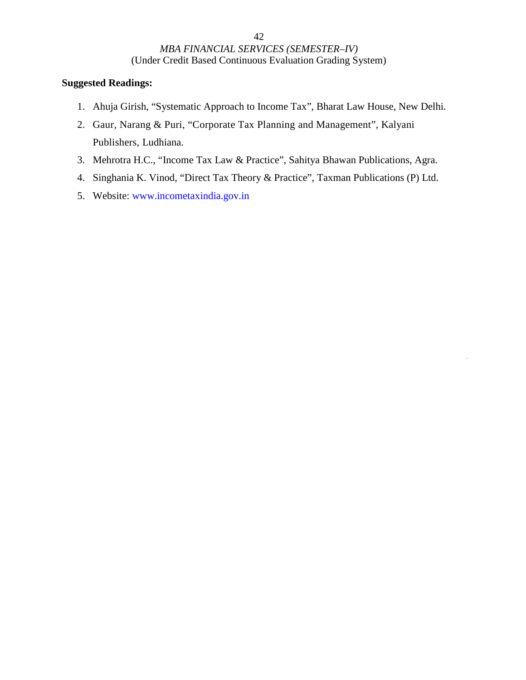- 1. Ahuja Girish, "Systematic Approach to Income Tax", Bharat Law House, New Delhi.
- 2. Gaur, Narang & Puri, "Corporate Tax Planning and Management", Kalyani Publishers, Ludhiana.
- 3. Mehrotra H.C., "Income Tax Law & Practice", Sahitya Bhawan Publications, Agra.
- 4. Singhania K. Vinod, "Direct Tax Theory & Practice", Taxman Publications (P) Ltd.
- 5. Website: www.incometaxindia.gov.in